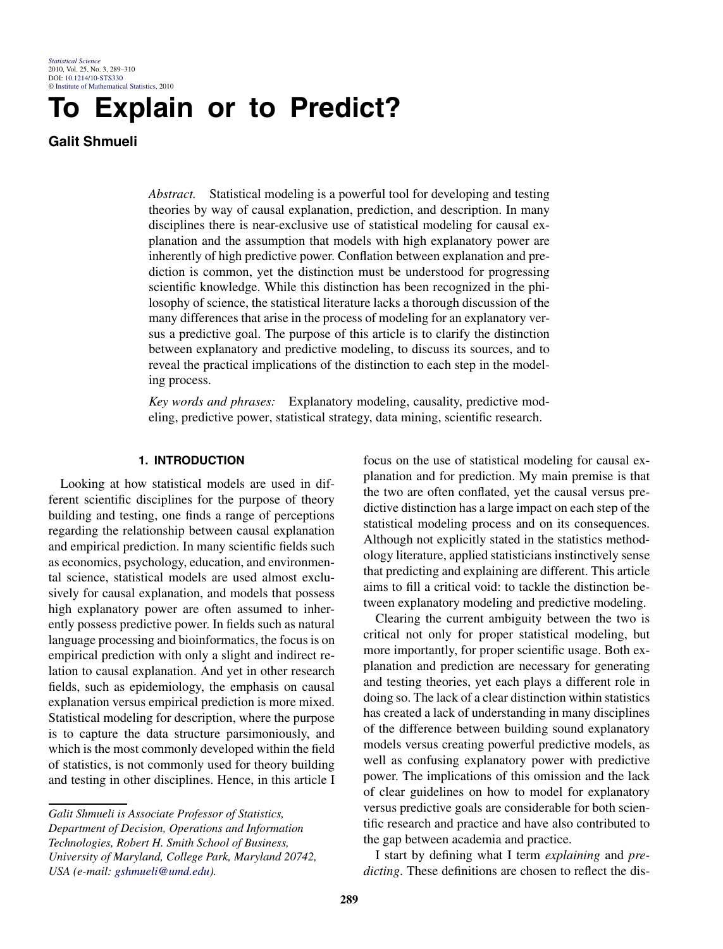# <span id="page-0-0"></span>**To Explain or to Predict?**

# **Galit Shmueli**

*Abstract.* Statistical modeling is a powerful tool for developing and testing theories by way of causal explanation, prediction, and description. In many disciplines there is near-exclusive use of statistical modeling for causal explanation and the assumption that models with high explanatory power are inherently of high predictive power. Conflation between explanation and prediction is common, yet the distinction must be understood for progressing scientific knowledge. While this distinction has been recognized in the philosophy of science, the statistical literature lacks a thorough discussion of the many differences that arise in the process of modeling for an explanatory versus a predictive goal. The purpose of this article is to clarify the distinction between explanatory and predictive modeling, to discuss its sources, and to reveal the practical implications of the distinction to each step in the modeling process.

*Key words and phrases:* Explanatory modeling, causality, predictive modeling, predictive power, statistical strategy, data mining, scientific research.

## **1. INTRODUCTION**

Looking at how statistical models are used in different scientific disciplines for the purpose of theory building and testing, one finds a range of perceptions regarding the relationship between causal explanation and empirical prediction. In many scientific fields such as economics, psychology, education, and environmental science, statistical models are used almost exclusively for causal explanation, and models that possess high explanatory power are often assumed to inherently possess predictive power. In fields such as natural language processing and bioinformatics, the focus is on empirical prediction with only a slight and indirect relation to causal explanation. And yet in other research fields, such as epidemiology, the emphasis on causal explanation versus empirical prediction is more mixed. Statistical modeling for description, where the purpose is to capture the data structure parsimoniously, and which is the most commonly developed within the field of statistics, is not commonly used for theory building and testing in other disciplines. Hence, in this article I focus on the use of statistical modeling for causal explanation and for prediction. My main premise is that the two are often conflated, yet the causal versus predictive distinction has a large impact on each step of the statistical modeling process and on its consequences. Although not explicitly stated in the statistics methodology literature, applied statisticians instinctively sense that predicting and explaining are different. This article aims to fill a critical void: to tackle the distinction between explanatory modeling and predictive modeling.

Clearing the current ambiguity between the two is critical not only for proper statistical modeling, but more importantly, for proper scientific usage. Both explanation and prediction are necessary for generating and testing theories, yet each plays a different role in doing so. The lack of a clear distinction within statistics has created a lack of understanding in many disciplines of the difference between building sound explanatory models versus creating powerful predictive models, as well as confusing explanatory power with predictive power. The implications of this omission and the lack of clear guidelines on how to model for explanatory versus predictive goals are considerable for both scientific research and practice and have also contributed to the gap between academia and practice.

I start by defining what I term *explaining* and *predicting*. These definitions are chosen to reflect the dis-

*Galit Shmueli is Associate Professor of Statistics, Department of Decision, Operations and Information Technologies, Robert H. Smith School of Business, University of Maryland, College Park, Maryland 20742, USA (e-mail: [gshmueli@umd.edu\)](mailto:gshmueli@umd.edu).*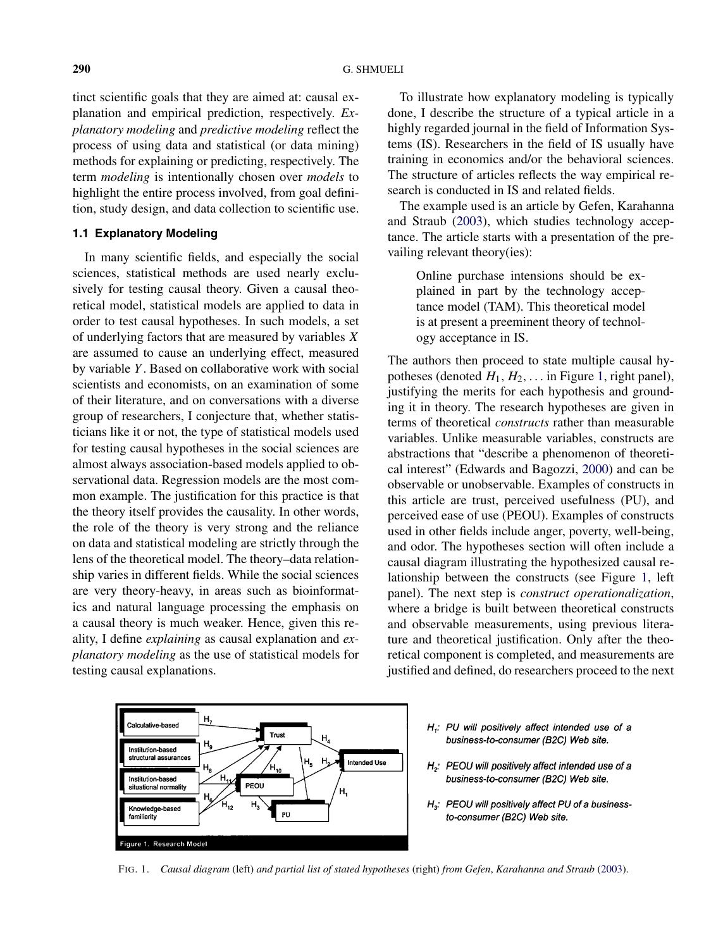<span id="page-1-0"></span>tinct scientific goals that they are aimed at: causal explanation and empirical prediction, respectively. *Explanatory modeling* and *predictive modeling* reflect the process of using data and statistical (or data mining) methods for explaining or predicting, respectively. The term *modeling* is intentionally chosen over *models* to highlight the entire process involved, from goal definition, study design, and data collection to scientific use.

#### **1.1 Explanatory Modeling**

In many scientific fields, and especially the social sciences, statistical methods are used nearly exclusively for testing causal theory. Given a causal theoretical model, statistical models are applied to data in order to test causal hypotheses. In such models, a set of underlying factors that are measured by variables *X* are assumed to cause an underlying effect, measured by variable *Y* . Based on collaborative work with social scientists and economists, on an examination of some of their literature, and on conversations with a diverse group of researchers, I conjecture that, whether statisticians like it or not, the type of statistical models used for testing causal hypotheses in the social sciences are almost always association-based models applied to observational data. Regression models are the most common example. The justification for this practice is that the theory itself provides the causality. In other words, the role of the theory is very strong and the reliance on data and statistical modeling are strictly through the lens of the theoretical model. The theory–data relationship varies in different fields. While the social sciences are very theory-heavy, in areas such as bioinformatics and natural language processing the emphasis on a causal theory is much weaker. Hence, given this reality, I define *explaining* as causal explanation and *explanatory modeling* as the use of statistical models for testing causal explanations.

To illustrate how explanatory modeling is typically done, I describe the structure of a typical article in a highly regarded journal in the field of Information Systems (IS). Researchers in the field of IS usually have training in economics and/or the behavioral sciences. The structure of articles reflects the way empirical research is conducted in IS and related fields.

The example used is an article by Gefen, Karahanna and Straub [\(2003\)](#page-19-0), which studies technology acceptance. The article starts with a presentation of the prevailing relevant theory(ies):

Online purchase intensions should be explained in part by the technology acceptance model (TAM). This theoretical model is at present a preeminent theory of technology acceptance in IS.

The authors then proceed to state multiple causal hypotheses (denoted *H*1*, H*2*,...* in Figure 1, right panel), justifying the merits for each hypothesis and grounding it in theory. The research hypotheses are given in terms of theoretical *constructs* rather than measurable variables. Unlike measurable variables, constructs are abstractions that "describe a phenomenon of theoretical interest" (Edwards and Bagozzi, [2000\)](#page-19-0) and can be observable or unobservable. Examples of constructs in this article are trust, perceived usefulness (PU), and perceived ease of use (PEOU). Examples of constructs used in other fields include anger, poverty, well-being, and odor. The hypotheses section will often include a causal diagram illustrating the hypothesized causal relationship between the constructs (see Figure 1, left panel). The next step is *construct operationalization*, where a bridge is built between theoretical constructs and observable measurements, using previous literature and theoretical justification. Only after the theoretical component is completed, and measurements are justified and defined, do researchers proceed to the next



- H<sub>i</sub>: PU will positively affect intended use of a business-to-consumer (B2C) Web site.
- H<sub>2</sub>: PEOU will positively affect intended use of a business-to-consumer (B2C) Web site.
- $H_3$ : PEOU will positively affect PU of a businessto-consumer (B2C) Web site.

FIG. 1. *Causal diagram* (left) *and partial list of stated hypotheses* (right) *from Gefen*, *Karahanna and Straub* [\(2003\)](#page-19-0).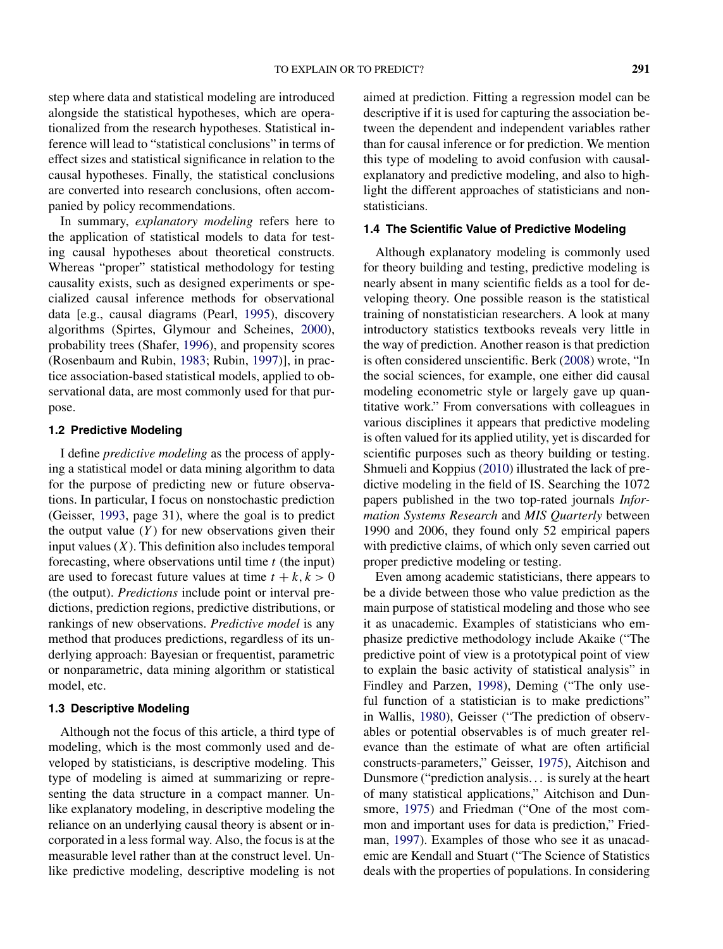<span id="page-2-0"></span>step where data and statistical modeling are introduced alongside the statistical hypotheses, which are operationalized from the research hypotheses. Statistical inference will lead to "statistical conclusions" in terms of effect sizes and statistical significance in relation to the causal hypotheses. Finally, the statistical conclusions are converted into research conclusions, often accompanied by policy recommendations.

In summary, *explanatory modeling* refers here to the application of statistical models to data for testing causal hypotheses about theoretical constructs. Whereas "proper" statistical methodology for testing causality exists, such as designed experiments or specialized causal inference methods for observational data [e.g., causal diagrams (Pearl, [1995\)](#page-20-0), discovery algorithms (Spirtes, Glymour and Scheines, [2000\)](#page-20-0), probability trees (Shafer, [1996\)](#page-20-0), and propensity scores (Rosenbaum and Rubin, [1983;](#page-20-0) Rubin, [1997\)](#page-20-0)], in practice association-based statistical models, applied to observational data, are most commonly used for that purpose.

#### **1.2 Predictive Modeling**

I define *predictive modeling* as the process of applying a statistical model or data mining algorithm to data for the purpose of predicting new or future observations. In particular, I focus on nonstochastic prediction (Geisser, [1993,](#page-19-0) page 31), where the goal is to predict the output value  $(Y)$  for new observations given their input values  $(X)$ . This definition also includes temporal forecasting, where observations until time *t* (the input) are used to forecast future values at time  $t + k, k > 0$ (the output). *Predictions* include point or interval predictions, prediction regions, predictive distributions, or rankings of new observations. *Predictive model* is any method that produces predictions, regardless of its underlying approach: Bayesian or frequentist, parametric or nonparametric, data mining algorithm or statistical model, etc.

#### **1.3 Descriptive Modeling**

Although not the focus of this article, a third type of modeling, which is the most commonly used and developed by statisticians, is descriptive modeling. This type of modeling is aimed at summarizing or representing the data structure in a compact manner. Unlike explanatory modeling, in descriptive modeling the reliance on an underlying causal theory is absent or incorporated in a less formal way. Also, the focus is at the measurable level rather than at the construct level. Unlike predictive modeling, descriptive modeling is not

aimed at prediction. Fitting a regression model can be descriptive if it is used for capturing the association between the dependent and independent variables rather than for causal inference or for prediction. We mention this type of modeling to avoid confusion with causalexplanatory and predictive modeling, and also to highlight the different approaches of statisticians and nonstatisticians.

## **1.4 The Scientific Value of Predictive Modeling**

Although explanatory modeling is commonly used for theory building and testing, predictive modeling is nearly absent in many scientific fields as a tool for developing theory. One possible reason is the statistical training of nonstatistician researchers. A look at many introductory statistics textbooks reveals very little in the way of prediction. Another reason is that prediction is often considered unscientific. Berk [\(2008\)](#page-19-0) wrote, "In the social sciences, for example, one either did causal modeling econometric style or largely gave up quantitative work." From conversations with colleagues in various disciplines it appears that predictive modeling is often valued for its applied utility, yet is discarded for scientific purposes such as theory building or testing. Shmueli and Koppius [\(2010\)](#page-20-0) illustrated the lack of predictive modeling in the field of IS. Searching the 1072 papers published in the two top-rated journals *Information Systems Research* and *MIS Quarterly* between 1990 and 2006, they found only 52 empirical papers with predictive claims, of which only seven carried out proper predictive modeling or testing.

Even among academic statisticians, there appears to be a divide between those who value prediction as the main purpose of statistical modeling and those who see it as unacademic. Examples of statisticians who emphasize predictive methodology include Akaike ("The predictive point of view is a prototypical point of view to explain the basic activity of statistical analysis" in Findley and Parzen, [1998\)](#page-19-0), Deming ("The only useful function of a statistician is to make predictions" in Wallis, [1980\)](#page-21-0), Geisser ("The prediction of observables or potential observables is of much greater relevance than the estimate of what are often artificial constructs-parameters," Geisser, [1975\)](#page-19-0), Aitchison and Dunsmore ("prediction analysis. . . is surely at the heart of many statistical applications," Aitchison and Dunsmore, [1975\)](#page-19-0) and Friedman ("One of the most common and important uses for data is prediction," Friedman, [1997\)](#page-19-0). Examples of those who see it as unacademic are Kendall and Stuart ("The Science of Statistics deals with the properties of populations. In considering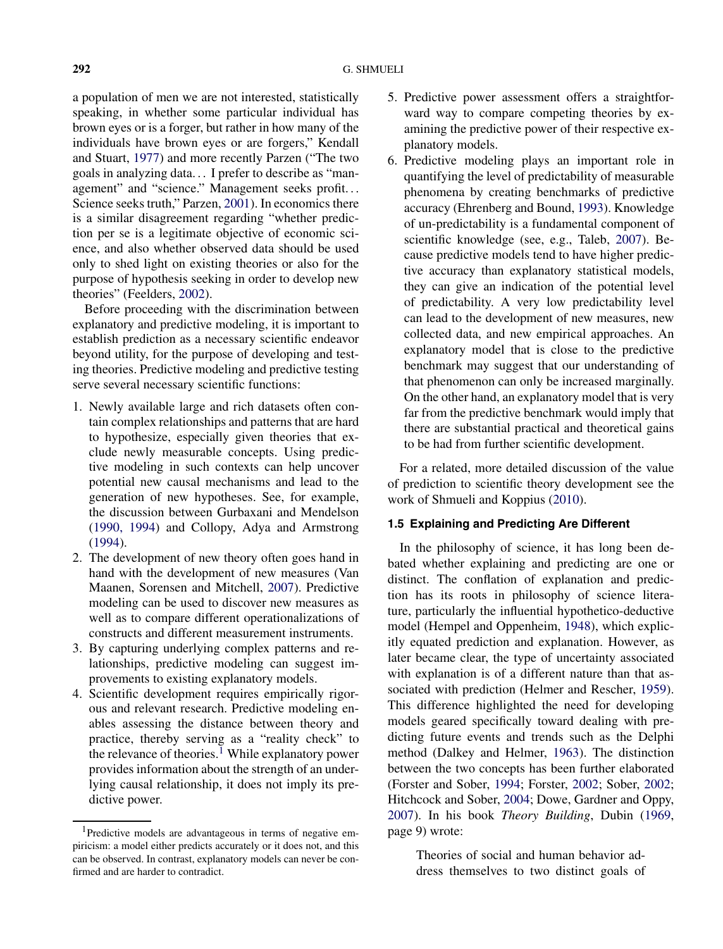a population of men we are not interested, statistically speaking, in whether some particular individual has brown eyes or is a forger, but rather in how many of the individuals have brown eyes or are forgers," Kendall and Stuart, [1977\)](#page-20-0) and more recently Parzen ("The two goals in analyzing data. . . I prefer to describe as "management" and "science." Management seeks profit... Science seeks truth," Parzen, [2001\)](#page-20-0). In economics there is a similar disagreement regarding "whether prediction per se is a legitimate objective of economic science, and also whether observed data should be used only to shed light on existing theories or also for the purpose of hypothesis seeking in order to develop new theories" (Feelders, [2002\)](#page-19-0).

Before proceeding with the discrimination between explanatory and predictive modeling, it is important to establish prediction as a necessary scientific endeavor beyond utility, for the purpose of developing and testing theories. Predictive modeling and predictive testing serve several necessary scientific functions:

- 1. Newly available large and rich datasets often contain complex relationships and patterns that are hard to hypothesize, especially given theories that exclude newly measurable concepts. Using predictive modeling in such contexts can help uncover potential new causal mechanisms and lead to the generation of new hypotheses. See, for example, the discussion between Gurbaxani and Mendelson [\(1990, 1994\)](#page-20-0) and Collopy, Adya and Armstrong [\(1994\)](#page-19-0).
- 2. The development of new theory often goes hand in hand with the development of new measures (Van Maanen, Sorensen and Mitchell, [2007\)](#page-21-0). Predictive modeling can be used to discover new measures as well as to compare different operationalizations of constructs and different measurement instruments.
- 3. By capturing underlying complex patterns and relationships, predictive modeling can suggest improvements to existing explanatory models.
- 4. Scientific development requires empirically rigorous and relevant research. Predictive modeling enables assessing the distance between theory and practice, thereby serving as a "reality check" to the relevance of theories.<sup>1</sup> While explanatory power provides information about the strength of an underlying causal relationship, it does not imply its predictive power.
- 5. Predictive power assessment offers a straightforward way to compare competing theories by examining the predictive power of their respective explanatory models.
- 6. Predictive modeling plays an important role in quantifying the level of predictability of measurable phenomena by creating benchmarks of predictive accuracy (Ehrenberg and Bound, [1993\)](#page-19-0). Knowledge of un-predictability is a fundamental component of scientific knowledge (see, e.g., Taleb, [2007\)](#page-21-0). Because predictive models tend to have higher predictive accuracy than explanatory statistical models, they can give an indication of the potential level of predictability. A very low predictability level can lead to the development of new measures, new collected data, and new empirical approaches. An explanatory model that is close to the predictive benchmark may suggest that our understanding of that phenomenon can only be increased marginally. On the other hand, an explanatory model that is very far from the predictive benchmark would imply that there are substantial practical and theoretical gains to be had from further scientific development.

For a related, more detailed discussion of the value of prediction to scientific theory development see the work of Shmueli and Koppius [\(2010\)](#page-20-0).

## **1.5 Explaining and Predicting Are Different**

In the philosophy of science, it has long been debated whether explaining and predicting are one or distinct. The conflation of explanation and prediction has its roots in philosophy of science literature, particularly the influential hypothetico-deductive model (Hempel and Oppenheim, [1948\)](#page-20-0), which explicitly equated prediction and explanation. However, as later became clear, the type of uncertainty associated with explanation is of a different nature than that associated with prediction (Helmer and Rescher, [1959\)](#page-20-0). This difference highlighted the need for developing models geared specifically toward dealing with predicting future events and trends such as the Delphi method (Dalkey and Helmer, [1963\)](#page-19-0). The distinction between the two concepts has been further elaborated (Forster and Sober, [1994;](#page-19-0) Forster, [2002;](#page-19-0) Sober, [2002;](#page-20-0) Hitchcock and Sober, [2004;](#page-20-0) Dowe, Gardner and Oppy, [2007\)](#page-19-0). In his book *Theory Building*, Dubin [\(1969,](#page-19-0) page 9) wrote:

Theories of social and human behavior address themselves to two distinct goals of

<sup>&</sup>lt;sup>1</sup>Predictive models are advantageous in terms of negative empiricism: a model either predicts accurately or it does not, and this can be observed. In contrast, explanatory models can never be confirmed and are harder to contradict.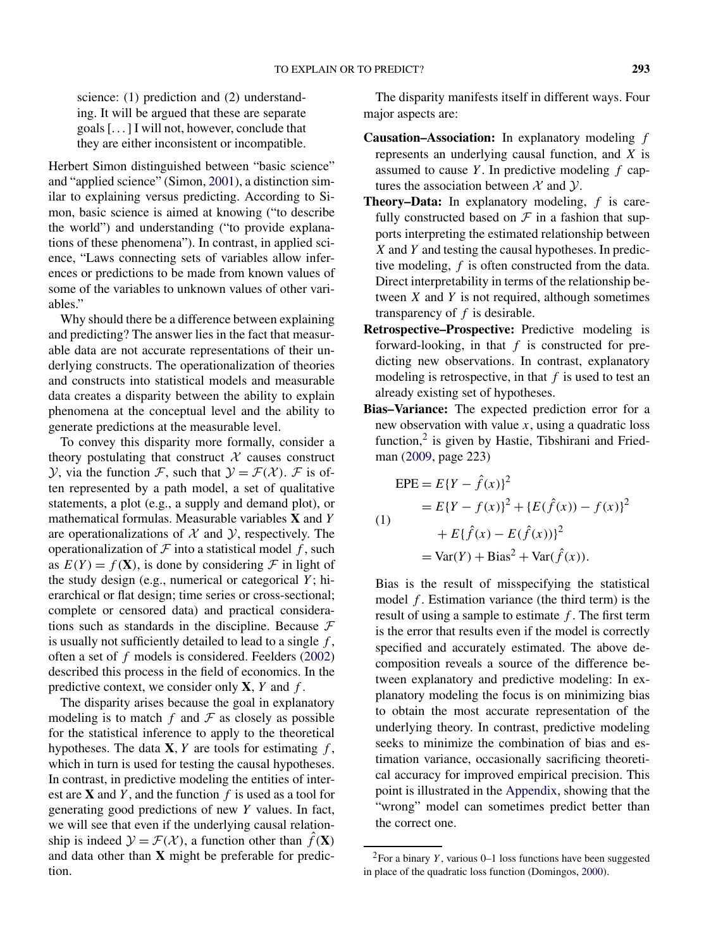science: (1) prediction and (2) understanding. It will be argued that these are separate goals [. . . ] I will not, however, conclude that they are either inconsistent or incompatible.

Herbert Simon distinguished between "basic science" and "applied science" (Simon, [2001\)](#page-20-0), a distinction similar to explaining versus predicting. According to Simon, basic science is aimed at knowing ("to describe the world") and understanding ("to provide explanations of these phenomena"). In contrast, in applied science, "Laws connecting sets of variables allow inferences or predictions to be made from known values of some of the variables to unknown values of other variables."

Why should there be a difference between explaining and predicting? The answer lies in the fact that measurable data are not accurate representations of their underlying constructs. The operationalization of theories and constructs into statistical models and measurable data creates a disparity between the ability to explain phenomena at the conceptual level and the ability to generate predictions at the measurable level.

To convey this disparity more formally, consider a theory postulating that construct  $X$  causes construct *Y*, via the function *F*, such that  $\mathcal{Y} = \mathcal{F}(\mathcal{X})$ . *F* is often represented by a path model, a set of qualitative statements, a plot (e.g., a supply and demand plot), or mathematical formulas. Measurable variables **X** and *Y* are operationalizations of  $X$  and  $Y$ , respectively. The operationalization of  $\mathcal F$  into a statistical model  $f$ , such as  $E(Y) = f(\mathbf{X})$ , is done by considering  $\mathcal F$  in light of the study design (e.g., numerical or categorical *Y* ; hierarchical or flat design; time series or cross-sectional; complete or censored data) and practical considerations such as standards in the discipline. Because  $\mathcal F$ is usually not sufficiently detailed to lead to a single *f* , often a set of *f* models is considered. Feelders [\(2002\)](#page-19-0) described this process in the field of economics. In the predictive context, we consider only **X**, *Y* and *f* .

The disparity arises because the goal in explanatory modeling is to match  $f$  and  $\mathcal F$  as closely as possible for the statistical inference to apply to the theoretical hypotheses. The data **X***, Y* are tools for estimating *f* , which in turn is used for testing the causal hypotheses. In contrast, in predictive modeling the entities of interest are **X** and *Y* , and the function *f* is used as a tool for generating good predictions of new *Y* values. In fact, we will see that even if the underlying causal relationship is indeed  $\mathcal{Y} = \mathcal{F}(\mathcal{X})$ , a function other than  $\hat{f}(\mathbf{X})$ and data other than **X** might be preferable for prediction.

The disparity manifests itself in different ways. Four major aspects are:

- **Causation–Association:** In explanatory modeling *f* represents an underlying causal function, and *X* is assumed to cause *Y* . In predictive modeling *f* captures the association between  $X$  and  $Y$ .
- **Theory–Data:** In explanatory modeling, *f* is carefully constructed based on  $\mathcal F$  in a fashion that supports interpreting the estimated relationship between *X* and *Y* and testing the causal hypotheses. In predictive modeling, *f* is often constructed from the data. Direct interpretability in terms of the relationship between *X* and *Y* is not required, although sometimes transparency of *f* is desirable.
- **Retrospective–Prospective:** Predictive modeling is forward-looking, in that *f* is constructed for predicting new observations. In contrast, explanatory modeling is retrospective, in that *f* is used to test an already existing set of hypotheses.
- **Bias–Variance:** The expected prediction error for a new observation with value *x*, using a quadratic loss function, $2$  is given by Hastie, Tibshirani and Friedman [\(2009,](#page-20-0) page 223)

$$
EPE = E\{Y - \hat{f}(x)\}^2
$$
  
=  $E\{Y - f(x)\}^2 + \{E(\hat{f}(x)) - f(x)\}^2$   
+  $E\{\hat{f}(x) - E(\hat{f}(x))\}^2$   
=  $Var(Y) + Bias^2 + Var(\hat{f}(x)).$ 

Bias is the result of misspecifying the statistical model  $f$ . Estimation variance (the third term) is the result of using a sample to estimate *f* . The first term is the error that results even if the model is correctly specified and accurately estimated. The above decomposition reveals a source of the difference between explanatory and predictive modeling: In explanatory modeling the focus is on minimizing bias to obtain the most accurate representation of the underlying theory. In contrast, predictive modeling seeks to minimize the combination of bias and estimation variance, occasionally sacrificing theoretical accuracy for improved empirical precision. This point is illustrated in the [Appendix,](#page-18-0) showing that the "wrong" model can sometimes predict better than the correct one.

 ${}^{2}$ For a binary *Y*, various 0–1 loss functions have been suggested in place of the quadratic loss function (Domingos, [2000\)](#page-19-0).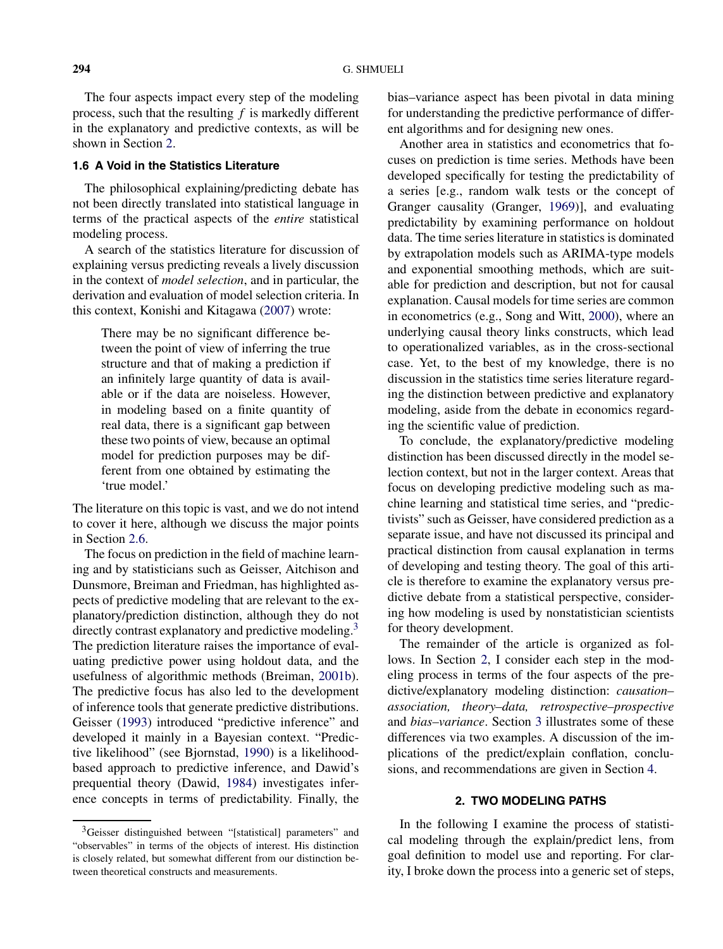<span id="page-5-0"></span>The four aspects impact every step of the modeling process, such that the resulting *f* is markedly different in the explanatory and predictive contexts, as will be shown in Section 2.

#### **1.6 A Void in the Statistics Literature**

The philosophical explaining/predicting debate has not been directly translated into statistical language in terms of the practical aspects of the *entire* statistical modeling process.

A search of the statistics literature for discussion of explaining versus predicting reveals a lively discussion in the context of *model selection*, and in particular, the derivation and evaluation of model selection criteria. In this context, Konishi and Kitagawa [\(2007\)](#page-20-0) wrote:

There may be no significant difference between the point of view of inferring the true structure and that of making a prediction if an infinitely large quantity of data is available or if the data are noiseless. However, in modeling based on a finite quantity of real data, there is a significant gap between these two points of view, because an optimal model for prediction purposes may be different from one obtained by estimating the 'true model.'

The literature on this topic is vast, and we do not intend to cover it here, although we discuss the major points in Section [2.6.](#page-10-0)

The focus on prediction in the field of machine learning and by statisticians such as Geisser, Aitchison and Dunsmore, Breiman and Friedman, has highlighted aspects of predictive modeling that are relevant to the explanatory/prediction distinction, although they do not directly contrast explanatory and predictive modeling.<sup>3</sup> The prediction literature raises the importance of evaluating predictive power using holdout data, and the usefulness of algorithmic methods (Breiman, [2001b\)](#page-19-0). The predictive focus has also led to the development of inference tools that generate predictive distributions. Geisser [\(1993\)](#page-19-0) introduced "predictive inference" and developed it mainly in a Bayesian context. "Predictive likelihood" (see Bjornstad, [1990\)](#page-19-0) is a likelihoodbased approach to predictive inference, and Dawid's prequential theory (Dawid, [1984\)](#page-19-0) investigates inference concepts in terms of predictability. Finally, the bias–variance aspect has been pivotal in data mining for understanding the predictive performance of different algorithms and for designing new ones.

Another area in statistics and econometrics that focuses on prediction is time series. Methods have been developed specifically for testing the predictability of a series [e.g., random walk tests or the concept of Granger causality (Granger, [1969\)](#page-19-0)], and evaluating predictability by examining performance on holdout data. The time series literature in statistics is dominated by extrapolation models such as ARIMA-type models and exponential smoothing methods, which are suitable for prediction and description, but not for causal explanation. Causal models for time series are common in econometrics (e.g., Song and Witt, [2000\)](#page-20-0), where an underlying causal theory links constructs, which lead to operationalized variables, as in the cross-sectional case. Yet, to the best of my knowledge, there is no discussion in the statistics time series literature regarding the distinction between predictive and explanatory modeling, aside from the debate in economics regarding the scientific value of prediction.

To conclude, the explanatory/predictive modeling distinction has been discussed directly in the model selection context, but not in the larger context. Areas that focus on developing predictive modeling such as machine learning and statistical time series, and "predictivists" such as Geisser, have considered prediction as a separate issue, and have not discussed its principal and practical distinction from causal explanation in terms of developing and testing theory. The goal of this article is therefore to examine the explanatory versus predictive debate from a statistical perspective, considering how modeling is used by nonstatistician scientists for theory development.

The remainder of the article is organized as follows. In Section 2, I consider each step in the modeling process in terms of the four aspects of the predictive/explanatory modeling distinction: *causation– association, theory–data, retrospective–prospective* and *bias–variance*. Section [3](#page-12-0) illustrates some of these differences via two examples. A discussion of the implications of the predict/explain conflation, conclusions, and recommendations are given in Section [4.](#page-15-0)

## **2. TWO MODELING PATHS**

In the following I examine the process of statistical modeling through the explain/predict lens, from goal definition to model use and reporting. For clarity, I broke down the process into a generic set of steps,

<sup>&</sup>lt;sup>3</sup>Geisser distinguished between "[statistical] parameters" and "observables" in terms of the objects of interest. His distinction is closely related, but somewhat different from our distinction between theoretical constructs and measurements.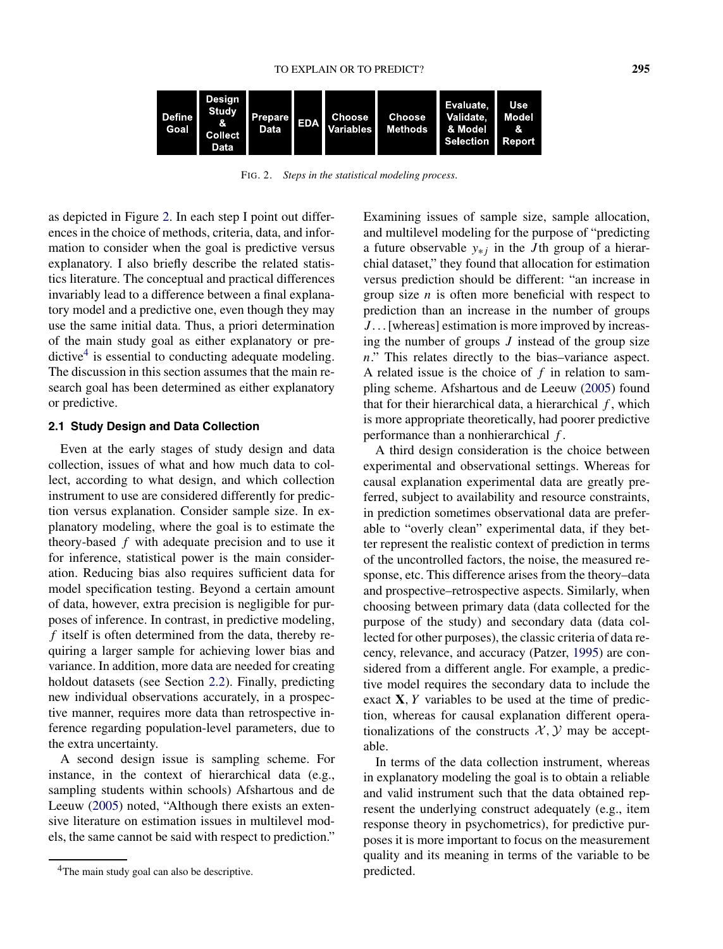<span id="page-6-0"></span>

FIG. 2. *Steps in the statistical modeling process*.

as depicted in Figure 2. In each step I point out differences in the choice of methods, criteria, data, and information to consider when the goal is predictive versus explanatory. I also briefly describe the related statistics literature. The conceptual and practical differences invariably lead to a difference between a final explanatory model and a predictive one, even though they may use the same initial data. Thus, a priori determination of the main study goal as either explanatory or predictive $4$  is essential to conducting adequate modeling. The discussion in this section assumes that the main research goal has been determined as either explanatory or predictive.

#### **2.1 Study Design and Data Collection**

Even at the early stages of study design and data collection, issues of what and how much data to collect, according to what design, and which collection instrument to use are considered differently for prediction versus explanation. Consider sample size. In explanatory modeling, where the goal is to estimate the theory-based *f* with adequate precision and to use it for inference, statistical power is the main consideration. Reducing bias also requires sufficient data for model specification testing. Beyond a certain amount of data, however, extra precision is negligible for purposes of inference. In contrast, in predictive modeling, *f* itself is often determined from the data, thereby requiring a larger sample for achieving lower bias and variance. In addition, more data are needed for creating holdout datasets (see Section [2.2\)](#page-7-0). Finally, predicting new individual observations accurately, in a prospective manner, requires more data than retrospective inference regarding population-level parameters, due to the extra uncertainty.

A second design issue is sampling scheme. For instance, in the context of hierarchical data (e.g., sampling students within schools) Afshartous and de Leeuw [\(2005\)](#page-19-0) noted, "Although there exists an extensive literature on estimation issues in multilevel models, the same cannot be said with respect to prediction."

Examining issues of sample size, sample allocation, and multilevel modeling for the purpose of "predicting a future observable *y*∗*<sup>j</sup>* in the *J* th group of a hierarchial dataset," they found that allocation for estimation versus prediction should be different: "an increase in group size *n* is often more beneficial with respect to prediction than an increase in the number of groups *J* . . . [whereas] estimation is more improved by increasing the number of groups *J* instead of the group size *n*." This relates directly to the bias–variance aspect. A related issue is the choice of *f* in relation to sampling scheme. Afshartous and de Leeuw [\(2005\)](#page-19-0) found that for their hierarchical data, a hierarchical *f* , which is more appropriate theoretically, had poorer predictive performance than a nonhierarchical *f* .

A third design consideration is the choice between experimental and observational settings. Whereas for causal explanation experimental data are greatly preferred, subject to availability and resource constraints, in prediction sometimes observational data are preferable to "overly clean" experimental data, if they better represent the realistic context of prediction in terms of the uncontrolled factors, the noise, the measured response, etc. This difference arises from the theory–data and prospective–retrospective aspects. Similarly, when choosing between primary data (data collected for the purpose of the study) and secondary data (data collected for other purposes), the classic criteria of data recency, relevance, and accuracy (Patzer, [1995\)](#page-20-0) are considered from a different angle. For example, a predictive model requires the secondary data to include the exact **X***, Y* variables to be used at the time of prediction, whereas for causal explanation different operationalizations of the constructs  $X, Y$  may be acceptable.

In terms of the data collection instrument, whereas in explanatory modeling the goal is to obtain a reliable and valid instrument such that the data obtained represent the underlying construct adequately (e.g., item response theory in psychometrics), for predictive purposes it is more important to focus on the measurement quality and its meaning in terms of the variable to be predicted.

<sup>&</sup>lt;sup>4</sup>The main study goal can also be descriptive.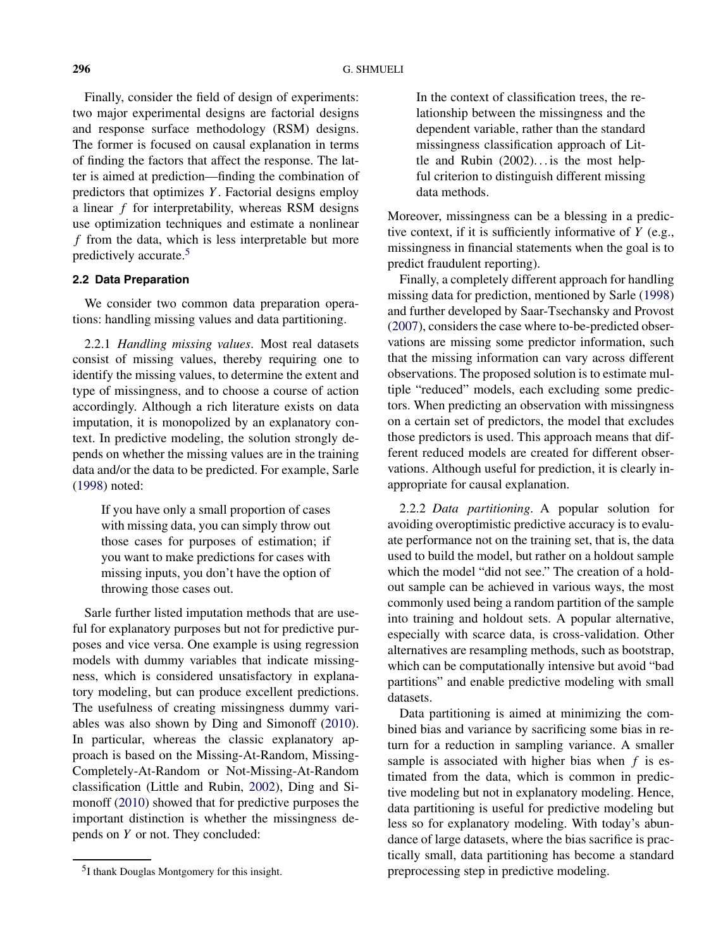<span id="page-7-0"></span>Finally, consider the field of design of experiments: two major experimental designs are factorial designs and response surface methodology (RSM) designs. The former is focused on causal explanation in terms of finding the factors that affect the response. The latter is aimed at prediction—finding the combination of predictors that optimizes *Y* . Factorial designs employ a linear *f* for interpretability, whereas RSM designs use optimization techniques and estimate a nonlinear *f* from the data, which is less interpretable but more predictively accurate.5

## **2.2 Data Preparation**

We consider two common data preparation operations: handling missing values and data partitioning.

2.2.1 *Handling missing values*. Most real datasets consist of missing values, thereby requiring one to identify the missing values, to determine the extent and type of missingness, and to choose a course of action accordingly. Although a rich literature exists on data imputation, it is monopolized by an explanatory context. In predictive modeling, the solution strongly depends on whether the missing values are in the training data and/or the data to be predicted. For example, Sarle [\(1998\)](#page-20-0) noted:

If you have only a small proportion of cases with missing data, you can simply throw out those cases for purposes of estimation; if you want to make predictions for cases with missing inputs, you don't have the option of throwing those cases out.

Sarle further listed imputation methods that are useful for explanatory purposes but not for predictive purposes and vice versa. One example is using regression models with dummy variables that indicate missingness, which is considered unsatisfactory in explanatory modeling, but can produce excellent predictions. The usefulness of creating missingness dummy variables was also shown by Ding and Simonoff [\(2010\)](#page-19-0). In particular, whereas the classic explanatory approach is based on the Missing-At-Random, Missing-Completely-At-Random or Not-Missing-At-Random classification (Little and Rubin, [2002\)](#page-20-0), Ding and Simonoff [\(2010\)](#page-19-0) showed that for predictive purposes the important distinction is whether the missingness depends on *Y* or not. They concluded:

In the context of classification trees, the relationship between the missingness and the dependent variable, rather than the standard missingness classification approach of Little and Rubin  $(2002)$ ... is the most helpful criterion to distinguish different missing data methods.

Moreover, missingness can be a blessing in a predictive context, if it is sufficiently informative of *Y* (e.g., missingness in financial statements when the goal is to predict fraudulent reporting).

Finally, a completely different approach for handling missing data for prediction, mentioned by Sarle [\(1998\)](#page-20-0) and further developed by Saar-Tsechansky and Provost [\(2007\)](#page-20-0), considers the case where to-be-predicted observations are missing some predictor information, such that the missing information can vary across different observations. The proposed solution is to estimate multiple "reduced" models, each excluding some predictors. When predicting an observation with missingness on a certain set of predictors, the model that excludes those predictors is used. This approach means that different reduced models are created for different observations. Although useful for prediction, it is clearly inappropriate for causal explanation.

2.2.2 *Data partitioning*. A popular solution for avoiding overoptimistic predictive accuracy is to evaluate performance not on the training set, that is, the data used to build the model, but rather on a holdout sample which the model "did not see." The creation of a holdout sample can be achieved in various ways, the most commonly used being a random partition of the sample into training and holdout sets. A popular alternative, especially with scarce data, is cross-validation. Other alternatives are resampling methods, such as bootstrap, which can be computationally intensive but avoid "bad partitions" and enable predictive modeling with small datasets.

Data partitioning is aimed at minimizing the combined bias and variance by sacrificing some bias in return for a reduction in sampling variance. A smaller sample is associated with higher bias when *f* is estimated from the data, which is common in predictive modeling but not in explanatory modeling. Hence, data partitioning is useful for predictive modeling but less so for explanatory modeling. With today's abundance of large datasets, where the bias sacrifice is practically small, data partitioning has become a standard preprocessing step in predictive modeling.

<sup>5</sup>I thank Douglas Montgomery for this insight.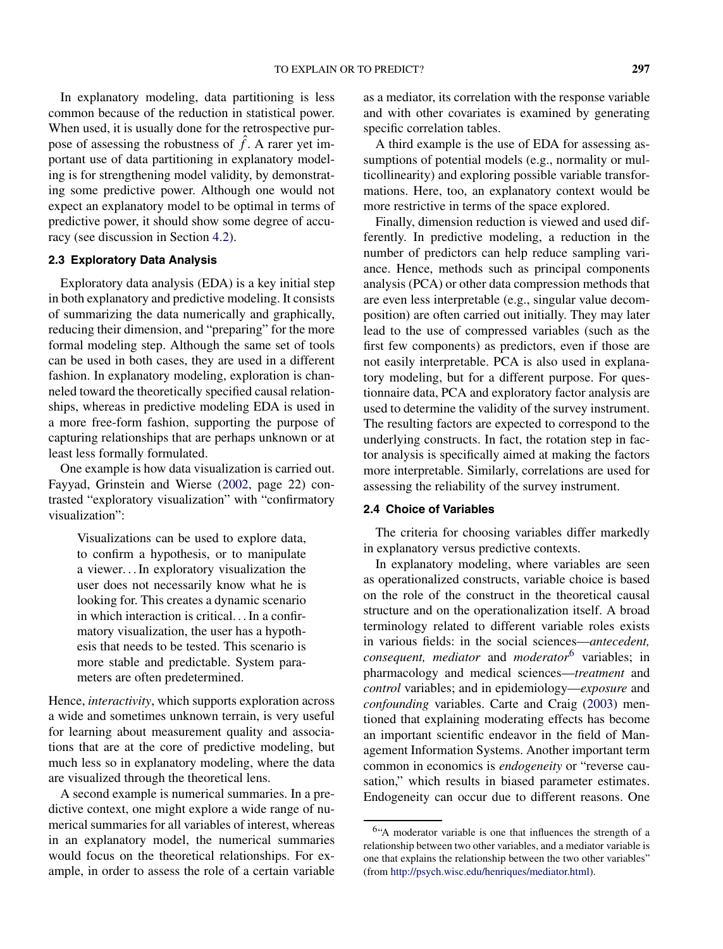In explanatory modeling, data partitioning is less common because of the reduction in statistical power. When used, it is usually done for the retrospective purpose of assessing the robustness of  $\hat{f}$ . A rarer yet important use of data partitioning in explanatory modeling is for strengthening model validity, by demonstrating some predictive power. Although one would not expect an explanatory model to be optimal in terms of predictive power, it should show some degree of accuracy (see discussion in Section [4.2\)](#page-16-0).

## **2.3 Exploratory Data Analysis**

Exploratory data analysis (EDA) is a key initial step in both explanatory and predictive modeling. It consists of summarizing the data numerically and graphically, reducing their dimension, and "preparing" for the more formal modeling step. Although the same set of tools can be used in both cases, they are used in a different fashion. In explanatory modeling, exploration is channeled toward the theoretically specified causal relationships, whereas in predictive modeling EDA is used in a more free-form fashion, supporting the purpose of capturing relationships that are perhaps unknown or at least less formally formulated.

One example is how data visualization is carried out. Fayyad, Grinstein and Wierse [\(2002,](#page-19-0) page 22) contrasted "exploratory visualization" with "confirmatory visualization":

> Visualizations can be used to explore data, to confirm a hypothesis, or to manipulate a viewer. . . In exploratory visualization the user does not necessarily know what he is looking for. This creates a dynamic scenario in which interaction is critical. . . In a confirmatory visualization, the user has a hypothesis that needs to be tested. This scenario is more stable and predictable. System parameters are often predetermined.

Hence, *interactivity*, which supports exploration across a wide and sometimes unknown terrain, is very useful for learning about measurement quality and associations that are at the core of predictive modeling, but much less so in explanatory modeling, where the data are visualized through the theoretical lens.

A second example is numerical summaries. In a predictive context, one might explore a wide range of numerical summaries for all variables of interest, whereas in an explanatory model, the numerical summaries would focus on the theoretical relationships. For example, in order to assess the role of a certain variable as a mediator, its correlation with the response variable and with other covariates is examined by generating specific correlation tables.

A third example is the use of EDA for assessing assumptions of potential models (e.g., normality or multicollinearity) and exploring possible variable transformations. Here, too, an explanatory context would be more restrictive in terms of the space explored.

Finally, dimension reduction is viewed and used differently. In predictive modeling, a reduction in the number of predictors can help reduce sampling variance. Hence, methods such as principal components analysis (PCA) or other data compression methods that are even less interpretable (e.g., singular value decomposition) are often carried out initially. They may later lead to the use of compressed variables (such as the first few components) as predictors, even if those are not easily interpretable. PCA is also used in explanatory modeling, but for a different purpose. For questionnaire data, PCA and exploratory factor analysis are used to determine the validity of the survey instrument. The resulting factors are expected to correspond to the underlying constructs. In fact, the rotation step in factor analysis is specifically aimed at making the factors more interpretable. Similarly, correlations are used for assessing the reliability of the survey instrument.

#### **2.4 Choice of Variables**

The criteria for choosing variables differ markedly in explanatory versus predictive contexts.

In explanatory modeling, where variables are seen as operationalized constructs, variable choice is based on the role of the construct in the theoretical causal structure and on the operationalization itself. A broad terminology related to different variable roles exists in various fields: in the social sciences—*antecedent, consequent, mediator* and *moderator*<sup>6</sup> variables; in pharmacology and medical sciences—*treatment* and *control* variables; and in epidemiology—*exposure* and *confounding* variables. Carte and Craig [\(2003\)](#page-19-0) mentioned that explaining moderating effects has become an important scientific endeavor in the field of Management Information Systems. Another important term common in economics is *endogeneity* or "reverse causation," which results in biased parameter estimates. Endogeneity can occur due to different reasons. One

<sup>&</sup>lt;sup>6</sup> A moderator variable is one that influences the strength of a relationship between two other variables, and a mediator variable is one that explains the relationship between the two other variables" (from <http://psych.wisc.edu/henriques/mediator.html>).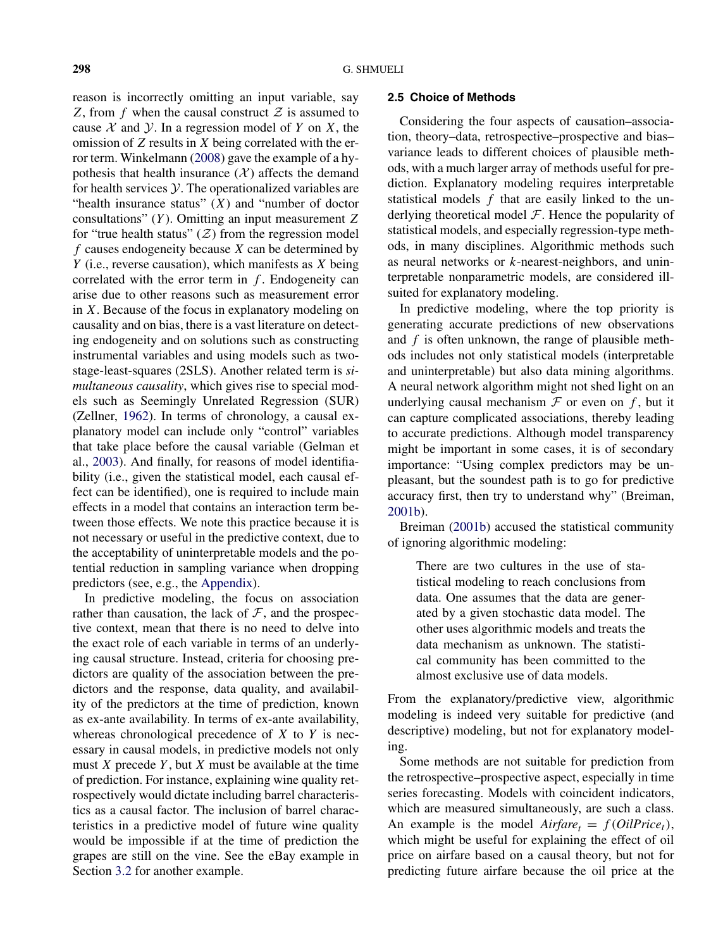reason is incorrectly omitting an input variable, say *Z*, from *f* when the causal construct  $Z$  is assumed to cause  $X$  and  $Y$ . In a regression model of  $Y$  on  $X$ , the omission of *Z* results in *X* being correlated with the error term. Winkelmann [\(2008\)](#page-21-0) gave the example of a hypothesis that health insurance  $(X)$  affects the demand for health services  $\mathcal Y$ . The operationalized variables are "health insurance status" (*X*) and "number of doctor consultations" (*Y* ). Omitting an input measurement *Z* for "true health status"  $(Z)$  from the regression model *f* causes endogeneity because *X* can be determined by *Y* (i.e., reverse causation), which manifests as *X* being correlated with the error term in *f* . Endogeneity can arise due to other reasons such as measurement error in *X*. Because of the focus in explanatory modeling on causality and on bias, there is a vast literature on detecting endogeneity and on solutions such as constructing instrumental variables and using models such as twostage-least-squares (2SLS). Another related term is *simultaneous causality*, which gives rise to special models such as Seemingly Unrelated Regression (SUR) (Zellner, [1962\)](#page-21-0). In terms of chronology, a causal explanatory model can include only "control" variables that take place before the causal variable (Gelman et al., [2003\)](#page-19-0). And finally, for reasons of model identifiability (i.e., given the statistical model, each causal effect can be identified), one is required to include main effects in a model that contains an interaction term between those effects. We note this practice because it is not necessary or useful in the predictive context, due to the acceptability of uninterpretable models and the potential reduction in sampling variance when dropping predictors (see, e.g., the [Appendix\)](#page-18-0).

In predictive modeling, the focus on association rather than causation, the lack of  $F$ , and the prospective context, mean that there is no need to delve into the exact role of each variable in terms of an underlying causal structure. Instead, criteria for choosing predictors are quality of the association between the predictors and the response, data quality, and availability of the predictors at the time of prediction, known as ex-ante availability. In terms of ex-ante availability, whereas chronological precedence of *X* to *Y* is necessary in causal models, in predictive models not only must *X* precede *Y* , but *X* must be available at the time of prediction. For instance, explaining wine quality retrospectively would dictate including barrel characteristics as a causal factor. The inclusion of barrel characteristics in a predictive model of future wine quality would be impossible if at the time of prediction the grapes are still on the vine. See the eBay example in Section [3.2](#page-13-0) for another example.

#### **2.5 Choice of Methods**

Considering the four aspects of causation–association, theory–data, retrospective–prospective and bias– variance leads to different choices of plausible methods, with a much larger array of methods useful for prediction. Explanatory modeling requires interpretable statistical models *f* that are easily linked to the underlying theoretical model  $F$ . Hence the popularity of statistical models, and especially regression-type methods, in many disciplines. Algorithmic methods such as neural networks or *k*-nearest-neighbors, and uninterpretable nonparametric models, are considered illsuited for explanatory modeling.

In predictive modeling, where the top priority is generating accurate predictions of new observations and *f* is often unknown, the range of plausible methods includes not only statistical models (interpretable and uninterpretable) but also data mining algorithms. A neural network algorithm might not shed light on an underlying causal mechanism  $F$  or even on  $f$ , but it can capture complicated associations, thereby leading to accurate predictions. Although model transparency might be important in some cases, it is of secondary importance: "Using complex predictors may be unpleasant, but the soundest path is to go for predictive accuracy first, then try to understand why" (Breiman, [2001b\)](#page-19-0).

Breiman [\(2001b\)](#page-19-0) accused the statistical community of ignoring algorithmic modeling:

There are two cultures in the use of statistical modeling to reach conclusions from data. One assumes that the data are generated by a given stochastic data model. The other uses algorithmic models and treats the data mechanism as unknown. The statistical community has been committed to the almost exclusive use of data models.

From the explanatory/predictive view, algorithmic modeling is indeed very suitable for predictive (and descriptive) modeling, but not for explanatory modeling.

Some methods are not suitable for prediction from the retrospective–prospective aspect, especially in time series forecasting. Models with coincident indicators, which are measured simultaneously, are such a class. An example is the model  $Airfare_t = f(OilPrice_t)$ , which might be useful for explaining the effect of oil price on airfare based on a causal theory, but not for predicting future airfare because the oil price at the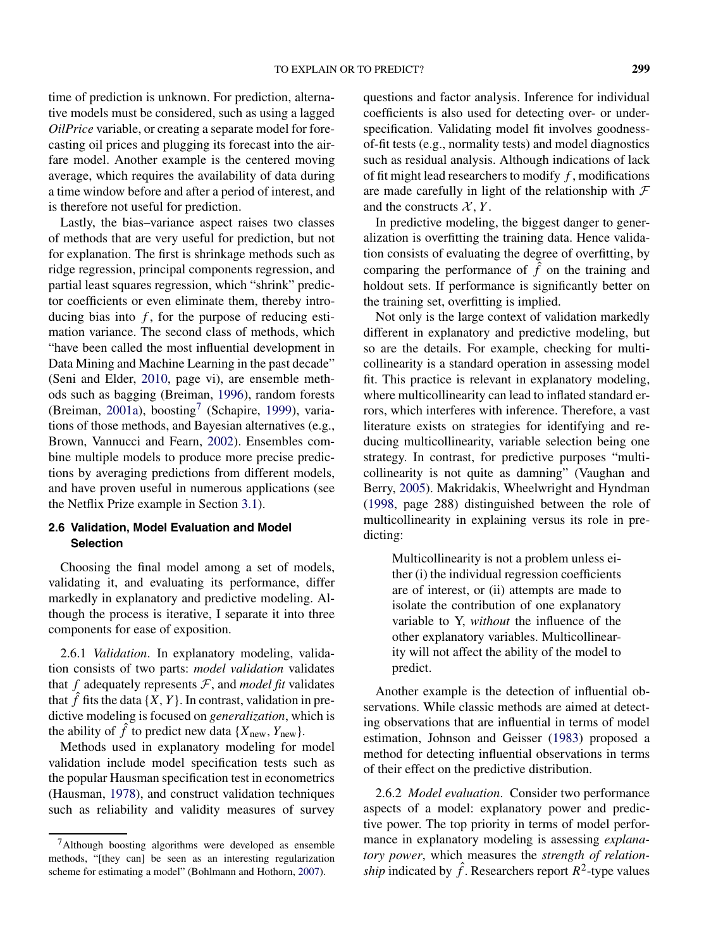<span id="page-10-0"></span>time of prediction is unknown. For prediction, alternative models must be considered, such as using a lagged *OilPrice* variable, or creating a separate model for forecasting oil prices and plugging its forecast into the airfare model. Another example is the centered moving average, which requires the availability of data during a time window before and after a period of interest, and is therefore not useful for prediction.

Lastly, the bias–variance aspect raises two classes of methods that are very useful for prediction, but not for explanation. The first is shrinkage methods such as ridge regression, principal components regression, and partial least squares regression, which "shrink" predictor coefficients or even eliminate them, thereby introducing bias into  $f$ , for the purpose of reducing estimation variance. The second class of methods, which "have been called the most influential development in Data Mining and Machine Learning in the past decade" (Seni and Elder, [2010,](#page-20-0) page vi), are ensemble methods such as bagging (Breiman, [1996\)](#page-19-0), random forests (Breiman, [2001a\)](#page-19-0), boosting<sup>7</sup> (Schapire, [1999\)](#page-20-0), variations of those methods, and Bayesian alternatives (e.g., Brown, Vannucci and Fearn, [2002\)](#page-19-0). Ensembles combine multiple models to produce more precise predictions by averaging predictions from different models, and have proven useful in numerous applications (see the Netflix Prize example in Section [3.1\)](#page-12-0).

## **2.6 Validation, Model Evaluation and Model Selection**

Choosing the final model among a set of models, validating it, and evaluating its performance, differ markedly in explanatory and predictive modeling. Although the process is iterative, I separate it into three components for ease of exposition.

2.6.1 *Validation*. In explanatory modeling, validation consists of two parts: *model validation* validates that  $f$  adequately represents  $F$ , and *model fit* validates that  $\hat{f}$  fits the data  $\{X, Y\}$ . In contrast, validation in predictive modeling is focused on *generalization*, which is the ability of  $\hat{f}$  to predict new data  $\{X_{\text{new}}, Y_{\text{new}}\}.$ 

Methods used in explanatory modeling for model validation include model specification tests such as the popular Hausman specification test in econometrics (Hausman, [1978\)](#page-20-0), and construct validation techniques such as reliability and validity measures of survey

questions and factor analysis. Inference for individual coefficients is also used for detecting over- or underspecification. Validating model fit involves goodnessof-fit tests (e.g., normality tests) and model diagnostics such as residual analysis. Although indications of lack of fit might lead researchers to modify *f* , modifications are made carefully in light of the relationship with  $\mathcal F$ and the constructs  $X, Y$ .

In predictive modeling, the biggest danger to generalization is overfitting the training data. Hence validation consists of evaluating the degree of overfitting, by comparing the performance of  $\hat{f}$  on the training and holdout sets. If performance is significantly better on the training set, overfitting is implied.

Not only is the large context of validation markedly different in explanatory and predictive modeling, but so are the details. For example, checking for multicollinearity is a standard operation in assessing model fit. This practice is relevant in explanatory modeling, where multicollinearity can lead to inflated standard errors, which interferes with inference. Therefore, a vast literature exists on strategies for identifying and reducing multicollinearity, variable selection being one strategy. In contrast, for predictive purposes "multicollinearity is not quite as damning" (Vaughan and Berry, [2005\)](#page-21-0). Makridakis, Wheelwright and Hyndman [\(1998,](#page-20-0) page 288) distinguished between the role of multicollinearity in explaining versus its role in predicting:

Multicollinearity is not a problem unless either (i) the individual regression coefficients are of interest, or (ii) attempts are made to isolate the contribution of one explanatory variable to Y, *without* the influence of the other explanatory variables. Multicollinearity will not affect the ability of the model to predict.

Another example is the detection of influential observations. While classic methods are aimed at detecting observations that are influential in terms of model estimation, Johnson and Geisser [\(1983\)](#page-20-0) proposed a method for detecting influential observations in terms of their effect on the predictive distribution.

2.6.2 *Model evaluation*. Consider two performance aspects of a model: explanatory power and predictive power. The top priority in terms of model performance in explanatory modeling is assessing *explanatory power*, which measures the *strength of relationship* indicated by  $\hat{f}$ . Researchers report  $R^2$ -type values

<sup>7</sup>Although boosting algorithms were developed as ensemble methods, "[they can] be seen as an interesting regularization scheme for estimating a model" (Bohlmann and Hothorn, [2007\)](#page-19-0).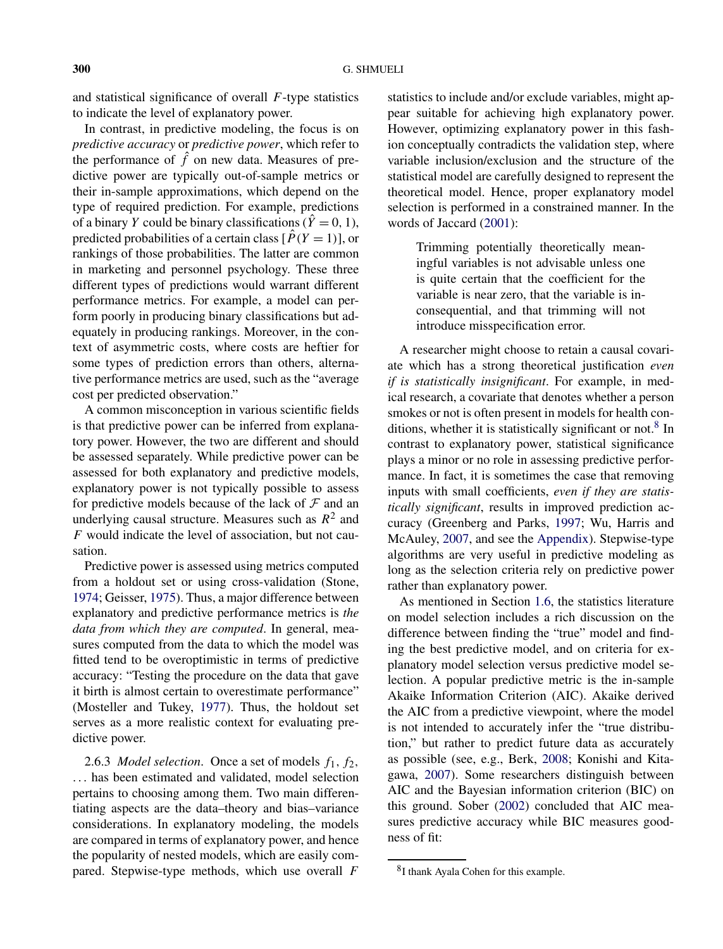and statistical significance of overall *F*-type statistics to indicate the level of explanatory power.

In contrast, in predictive modeling, the focus is on *predictive accuracy* or *predictive power*, which refer to the performance of  $\hat{f}$  on new data. Measures of predictive power are typically out-of-sample metrics or their in-sample approximations, which depend on the type of required prediction. For example, predictions of a binary *Y* could be binary classifications ( $\hat{Y} = 0, 1$ ), predicted probabilities of a certain class  $[\hat{P}(Y = 1)]$ , or rankings of those probabilities. The latter are common in marketing and personnel psychology. These three different types of predictions would warrant different performance metrics. For example, a model can perform poorly in producing binary classifications but adequately in producing rankings. Moreover, in the context of asymmetric costs, where costs are heftier for some types of prediction errors than others, alternative performance metrics are used, such as the "average cost per predicted observation."

A common misconception in various scientific fields is that predictive power can be inferred from explanatory power. However, the two are different and should be assessed separately. While predictive power can be assessed for both explanatory and predictive models, explanatory power is not typically possible to assess for predictive models because of the lack of  $\mathcal F$  and an underlying causal structure. Measures such as *R*<sup>2</sup> and *F* would indicate the level of association, but not causation.

Predictive power is assessed using metrics computed from a holdout set or using cross-validation (Stone, [1974;](#page-21-0) Geisser, [1975\)](#page-19-0). Thus, a major difference between explanatory and predictive performance metrics is *the data from which they are computed*. In general, measures computed from the data to which the model was fitted tend to be overoptimistic in terms of predictive accuracy: "Testing the procedure on the data that gave it birth is almost certain to overestimate performance" (Mosteller and Tukey, [1977\)](#page-20-0). Thus, the holdout set serves as a more realistic context for evaluating predictive power.

2.6.3 *Model selection*. Once a set of models *f*1*, f*2*, ...* has been estimated and validated, model selection pertains to choosing among them. Two main differentiating aspects are the data–theory and bias–variance considerations. In explanatory modeling, the models are compared in terms of explanatory power, and hence the popularity of nested models, which are easily compared. Stepwise-type methods, which use overall *F*

statistics to include and/or exclude variables, might appear suitable for achieving high explanatory power. However, optimizing explanatory power in this fashion conceptually contradicts the validation step, where variable inclusion/exclusion and the structure of the statistical model are carefully designed to represent the theoretical model. Hence, proper explanatory model selection is performed in a constrained manner. In the words of Jaccard [\(2001\)](#page-20-0):

Trimming potentially theoretically meaningful variables is not advisable unless one is quite certain that the coefficient for the variable is near zero, that the variable is inconsequential, and that trimming will not introduce misspecification error.

A researcher might choose to retain a causal covariate which has a strong theoretical justification *even if is statistically insignificant*. For example, in medical research, a covariate that denotes whether a person smokes or not is often present in models for health conditions, whether it is statistically significant or not.<sup>8</sup> In contrast to explanatory power, statistical significance plays a minor or no role in assessing predictive performance. In fact, it is sometimes the case that removing inputs with small coefficients, *even if they are statistically significant*, results in improved prediction accuracy (Greenberg and Parks, [1997;](#page-20-0) Wu, Harris and McAuley, [2007,](#page-21-0) and see the [Appendix\)](#page-18-0). Stepwise-type algorithms are very useful in predictive modeling as long as the selection criteria rely on predictive power rather than explanatory power.

As mentioned in Section [1.6,](#page-5-0) the statistics literature on model selection includes a rich discussion on the difference between finding the "true" model and finding the best predictive model, and on criteria for explanatory model selection versus predictive model selection. A popular predictive metric is the in-sample Akaike Information Criterion (AIC). Akaike derived the AIC from a predictive viewpoint, where the model is not intended to accurately infer the "true distribution," but rather to predict future data as accurately as possible (see, e.g., Berk, [2008;](#page-19-0) Konishi and Kitagawa, [2007\)](#page-20-0). Some researchers distinguish between AIC and the Bayesian information criterion (BIC) on this ground. Sober [\(2002\)](#page-20-0) concluded that AIC measures predictive accuracy while BIC measures goodness of fit:

<sup>&</sup>lt;sup>8</sup>I thank Ayala Cohen for this example.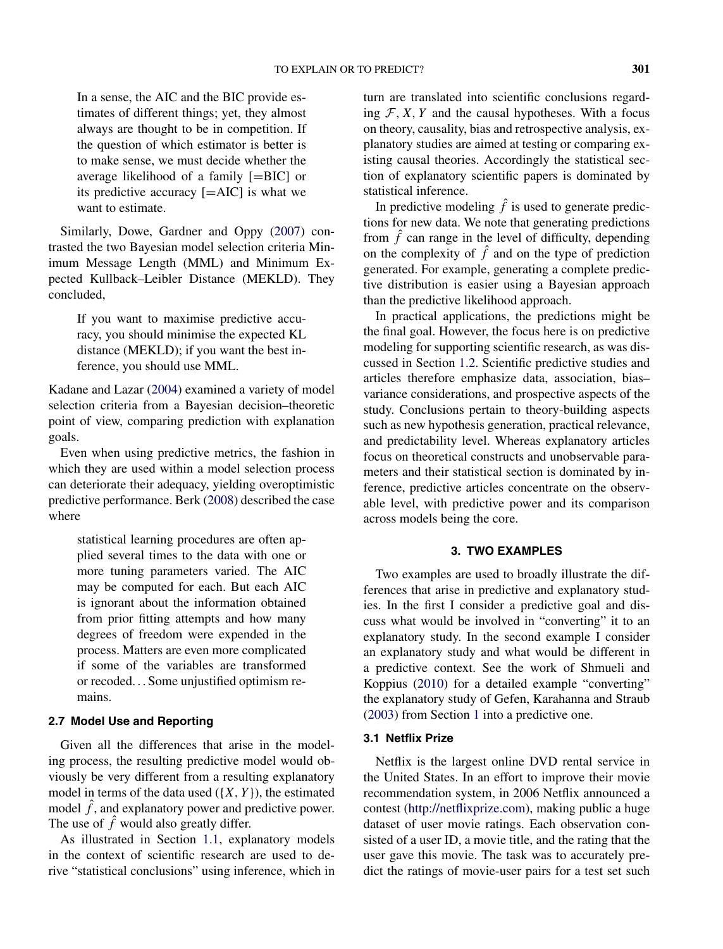<span id="page-12-0"></span>In a sense, the AIC and the BIC provide estimates of different things; yet, they almost always are thought to be in competition. If the question of which estimator is better is to make sense, we must decide whether the average likelihood of a family [=BIC] or its predictive accuracy  $[=AIC]$  is what we want to estimate.

Similarly, Dowe, Gardner and Oppy [\(2007\)](#page-19-0) contrasted the two Bayesian model selection criteria Minimum Message Length (MML) and Minimum Expected Kullback–Leibler Distance (MEKLD). They concluded,

> If you want to maximise predictive accuracy, you should minimise the expected KL distance (MEKLD); if you want the best inference, you should use MML.

Kadane and Lazar [\(2004\)](#page-20-0) examined a variety of model selection criteria from a Bayesian decision–theoretic point of view, comparing prediction with explanation goals.

Even when using predictive metrics, the fashion in which they are used within a model selection process can deteriorate their adequacy, yielding overoptimistic predictive performance. Berk [\(2008\)](#page-19-0) described the case where

> statistical learning procedures are often applied several times to the data with one or more tuning parameters varied. The AIC may be computed for each. But each AIC is ignorant about the information obtained from prior fitting attempts and how many degrees of freedom were expended in the process. Matters are even more complicated if some of the variables are transformed or recoded. . . Some unjustified optimism remains.

## **2.7 Model Use and Reporting**

Given all the differences that arise in the modeling process, the resulting predictive model would obviously be very different from a resulting explanatory model in terms of the data used  $({X, Y})$ , the estimated model  $\hat{f}$ , and explanatory power and predictive power. The use of  $\hat{f}$  would also greatly differ.

As illustrated in Section [1.1,](#page-1-0) explanatory models in the context of scientific research are used to derive "statistical conclusions" using inference, which in turn are translated into scientific conclusions regarding  $F, X, Y$  and the causal hypotheses. With a focus on theory, causality, bias and retrospective analysis, explanatory studies are aimed at testing or comparing existing causal theories. Accordingly the statistical section of explanatory scientific papers is dominated by statistical inference.

In predictive modeling  $\hat{f}$  is used to generate predictions for new data. We note that generating predictions from  $\hat{f}$  can range in the level of difficulty, depending on the complexity of  $\hat{f}$  and on the type of prediction generated. For example, generating a complete predictive distribution is easier using a Bayesian approach than the predictive likelihood approach.

In practical applications, the predictions might be the final goal. However, the focus here is on predictive modeling for supporting scientific research, as was discussed in Section [1.2.](#page-2-0) Scientific predictive studies and articles therefore emphasize data, association, bias– variance considerations, and prospective aspects of the study. Conclusions pertain to theory-building aspects such as new hypothesis generation, practical relevance, and predictability level. Whereas explanatory articles focus on theoretical constructs and unobservable parameters and their statistical section is dominated by inference, predictive articles concentrate on the observable level, with predictive power and its comparison across models being the core.

#### **3. TWO EXAMPLES**

Two examples are used to broadly illustrate the differences that arise in predictive and explanatory studies. In the first I consider a predictive goal and discuss what would be involved in "converting" it to an explanatory study. In the second example I consider an explanatory study and what would be different in a predictive context. See the work of Shmueli and Koppius [\(2010\)](#page-20-0) for a detailed example "converting" the explanatory study of Gefen, Karahanna and Straub [\(2003\)](#page-19-0) from Section [1](#page-0-0) into a predictive one.

## **3.1 Netflix Prize**

Netflix is the largest online DVD rental service in the United States. In an effort to improve their movie recommendation system, in 2006 Netflix announced a contest [\(http://netflixprize.com\)](http://netflixprize.com), making public a huge dataset of user movie ratings. Each observation consisted of a user ID, a movie title, and the rating that the user gave this movie. The task was to accurately predict the ratings of movie-user pairs for a test set such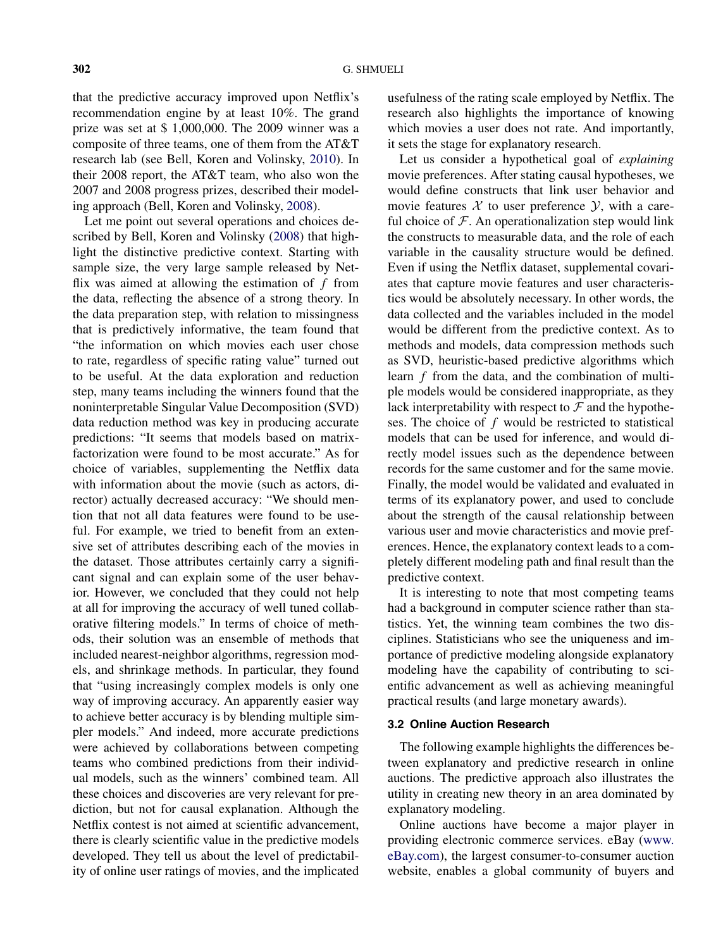<span id="page-13-0"></span>that the predictive accuracy improved upon Netflix's recommendation engine by at least 10%. The grand prize was set at \$ 1,000,000. The 2009 winner was a composite of three teams, one of them from the AT&T research lab (see Bell, Koren and Volinsky, [2010\)](#page-19-0). In their 2008 report, the AT&T team, who also won the 2007 and 2008 progress prizes, described their modeling approach (Bell, Koren and Volinsky, [2008\)](#page-19-0).

Let me point out several operations and choices described by Bell, Koren and Volinsky [\(2008\)](#page-19-0) that highlight the distinctive predictive context. Starting with sample size, the very large sample released by Netflix was aimed at allowing the estimation of *f* from the data, reflecting the absence of a strong theory. In the data preparation step, with relation to missingness that is predictively informative, the team found that "the information on which movies each user chose to rate, regardless of specific rating value" turned out to be useful. At the data exploration and reduction step, many teams including the winners found that the noninterpretable Singular Value Decomposition (SVD) data reduction method was key in producing accurate predictions: "It seems that models based on matrixfactorization were found to be most accurate." As for choice of variables, supplementing the Netflix data with information about the movie (such as actors, director) actually decreased accuracy: "We should mention that not all data features were found to be useful. For example, we tried to benefit from an extensive set of attributes describing each of the movies in the dataset. Those attributes certainly carry a significant signal and can explain some of the user behavior. However, we concluded that they could not help at all for improving the accuracy of well tuned collaborative filtering models." In terms of choice of methods, their solution was an ensemble of methods that included nearest-neighbor algorithms, regression models, and shrinkage methods. In particular, they found that "using increasingly complex models is only one way of improving accuracy. An apparently easier way to achieve better accuracy is by blending multiple simpler models." And indeed, more accurate predictions were achieved by collaborations between competing teams who combined predictions from their individual models, such as the winners' combined team. All these choices and discoveries are very relevant for prediction, but not for causal explanation. Although the Netflix contest is not aimed at scientific advancement, there is clearly scientific value in the predictive models developed. They tell us about the level of predictability of online user ratings of movies, and the implicated

usefulness of the rating scale employed by Netflix. The research also highlights the importance of knowing which movies a user does not rate. And importantly, it sets the stage for explanatory research.

Let us consider a hypothetical goal of *explaining* movie preferences. After stating causal hypotheses, we would define constructs that link user behavior and movie features  $X$  to user preference  $Y$ , with a careful choice of  $F$ . An operationalization step would link the constructs to measurable data, and the role of each variable in the causality structure would be defined. Even if using the Netflix dataset, supplemental covariates that capture movie features and user characteristics would be absolutely necessary. In other words, the data collected and the variables included in the model would be different from the predictive context. As to methods and models, data compression methods such as SVD, heuristic-based predictive algorithms which learn *f* from the data, and the combination of multiple models would be considered inappropriate, as they lack interpretability with respect to  $\mathcal F$  and the hypotheses. The choice of *f* would be restricted to statistical models that can be used for inference, and would directly model issues such as the dependence between records for the same customer and for the same movie. Finally, the model would be validated and evaluated in terms of its explanatory power, and used to conclude about the strength of the causal relationship between various user and movie characteristics and movie preferences. Hence, the explanatory context leads to a completely different modeling path and final result than the predictive context.

It is interesting to note that most competing teams had a background in computer science rather than statistics. Yet, the winning team combines the two disciplines. Statisticians who see the uniqueness and importance of predictive modeling alongside explanatory modeling have the capability of contributing to scientific advancement as well as achieving meaningful practical results (and large monetary awards).

#### **3.2 Online Auction Research**

The following example highlights the differences between explanatory and predictive research in online auctions. The predictive approach also illustrates the utility in creating new theory in an area dominated by explanatory modeling.

Online auctions have become a major player in providing electronic commerce services. eBay [\(www.](http://www.eBay.com) [eBay.com\)](http://www.eBay.com), the largest consumer-to-consumer auction website, enables a global community of buyers and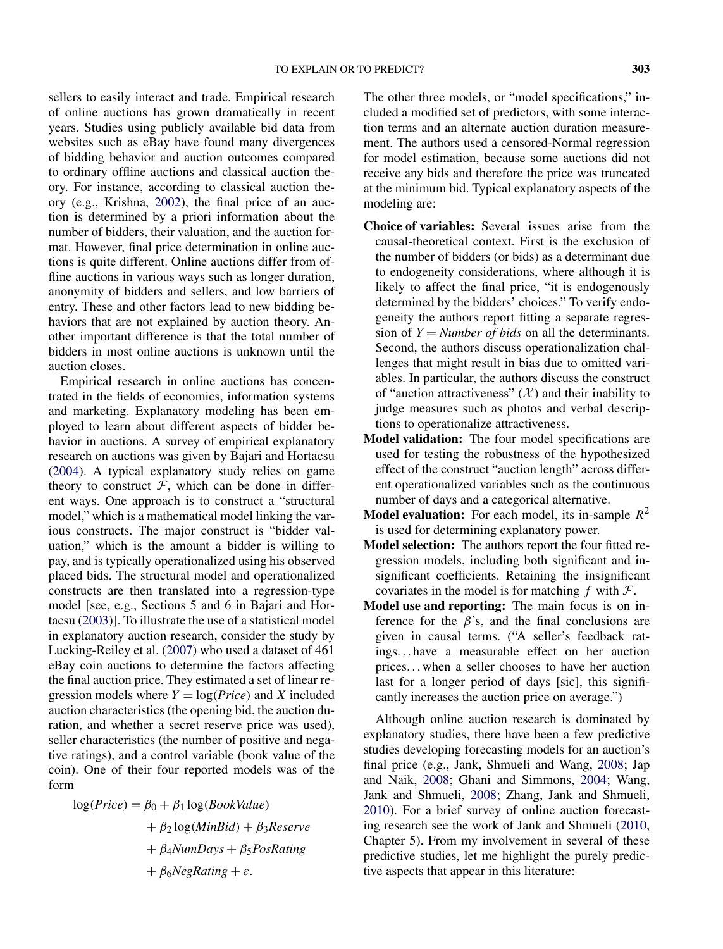sellers to easily interact and trade. Empirical research of online auctions has grown dramatically in recent years. Studies using publicly available bid data from websites such as eBay have found many divergences of bidding behavior and auction outcomes compared to ordinary offline auctions and classical auction theory. For instance, according to classical auction theory (e.g., Krishna, [2002\)](#page-20-0), the final price of an auction is determined by a priori information about the number of bidders, their valuation, and the auction format. However, final price determination in online auctions is quite different. Online auctions differ from offline auctions in various ways such as longer duration, anonymity of bidders and sellers, and low barriers of entry. These and other factors lead to new bidding behaviors that are not explained by auction theory. Another important difference is that the total number of bidders in most online auctions is unknown until the auction closes.

Empirical research in online auctions has concentrated in the fields of economics, information systems and marketing. Explanatory modeling has been employed to learn about different aspects of bidder behavior in auctions. A survey of empirical explanatory research on auctions was given by Bajari and Hortacsu [\(2004\)](#page-19-0). A typical explanatory study relies on game theory to construct  $F$ , which can be done in different ways. One approach is to construct a "structural model," which is a mathematical model linking the various constructs. The major construct is "bidder valuation," which is the amount a bidder is willing to pay, and is typically operationalized using his observed placed bids. The structural model and operationalized constructs are then translated into a regression-type model [see, e.g., Sections 5 and 6 in Bajari and Hortacsu [\(2003\)](#page-19-0)]. To illustrate the use of a statistical model in explanatory auction research, consider the study by Lucking-Reiley et al. [\(2007\)](#page-20-0) who used a dataset of 461 eBay coin auctions to determine the factors affecting the final auction price. They estimated a set of linear regression models where  $Y = \log(P$ *rice*) and *X* included auction characteristics (the opening bid, the auction duration, and whether a secret reserve price was used), seller characteristics (the number of positive and negative ratings), and a control variable (book value of the coin). One of their four reported models was of the form

 $\log(Price) = \beta_0 + \beta_1 \log(BookValue)$ + *β*<sup>2</sup> log*(MinBid)* + *β*3*Reserve* + *β*4*NumDays* + *β*5*PosRating*  $+ \beta_6$ *NegRating* +  $\varepsilon$ .

The other three models, or "model specifications," included a modified set of predictors, with some interaction terms and an alternate auction duration measurement. The authors used a censored-Normal regression for model estimation, because some auctions did not receive any bids and therefore the price was truncated at the minimum bid. Typical explanatory aspects of the modeling are:

- **Choice of variables:** Several issues arise from the causal-theoretical context. First is the exclusion of the number of bidders (or bids) as a determinant due to endogeneity considerations, where although it is likely to affect the final price, "it is endogenously determined by the bidders' choices." To verify endogeneity the authors report fitting a separate regression of  $Y =$  *Number of bids* on all the determinants. Second, the authors discuss operationalization challenges that might result in bias due to omitted variables. In particular, the authors discuss the construct of "auction attractiveness"  $(X)$  and their inability to judge measures such as photos and verbal descriptions to operationalize attractiveness.
- **Model validation:** The four model specifications are used for testing the robustness of the hypothesized effect of the construct "auction length" across different operationalized variables such as the continuous number of days and a categorical alternative.
- **Model evaluation:** For each model, its in-sample *R*<sup>2</sup> is used for determining explanatory power.
- **Model selection:** The authors report the four fitted regression models, including both significant and insignificant coefficients. Retaining the insignificant covariates in the model is for matching  $f$  with  $\mathcal{F}$ .
- **Model use and reporting:** The main focus is on inference for the  $\beta$ 's, and the final conclusions are given in causal terms. ("A seller's feedback ratings. . . have a measurable effect on her auction prices. . . when a seller chooses to have her auction last for a longer period of days [sic], this significantly increases the auction price on average.")

Although online auction research is dominated by explanatory studies, there have been a few predictive studies developing forecasting models for an auction's final price (e.g., Jank, Shmueli and Wang, [2008;](#page-20-0) Jap and Naik, [2008;](#page-20-0) Ghani and Simmons, [2004;](#page-19-0) Wang, Jank and Shmueli, [2008;](#page-21-0) Zhang, Jank and Shmueli, [2010\)](#page-21-0). For a brief survey of online auction forecasting research see the work of Jank and Shmueli [\(2010,](#page-20-0) Chapter 5). From my involvement in several of these predictive studies, let me highlight the purely predictive aspects that appear in this literature: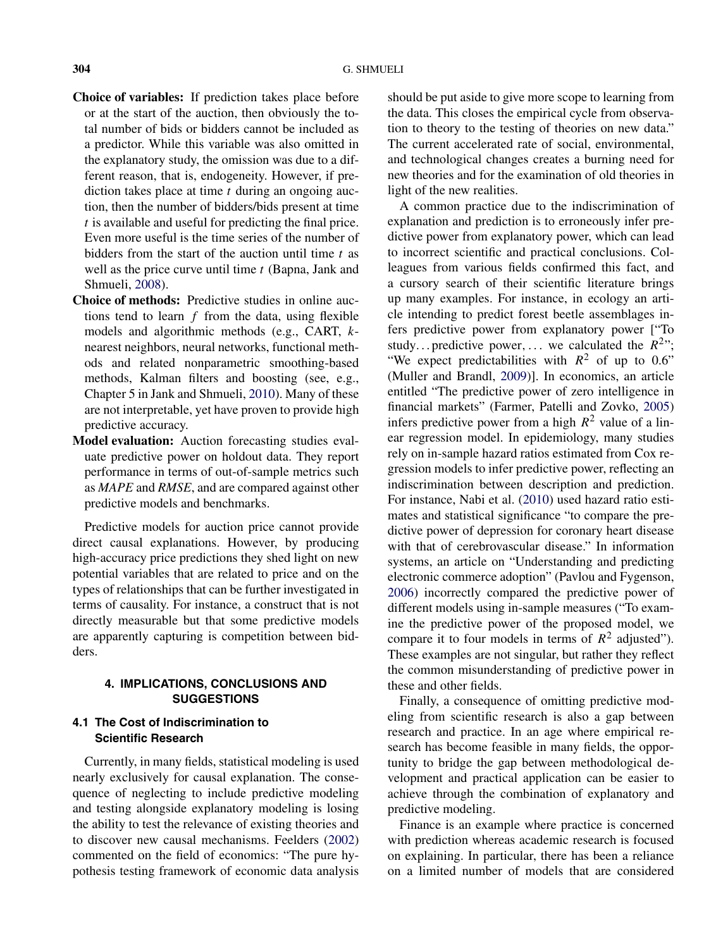- <span id="page-15-0"></span>**Choice of variables:** If prediction takes place before or at the start of the auction, then obviously the total number of bids or bidders cannot be included as a predictor. While this variable was also omitted in the explanatory study, the omission was due to a different reason, that is, endogeneity. However, if prediction takes place at time *t* during an ongoing auction, then the number of bidders/bids present at time *t* is available and useful for predicting the final price. Even more useful is the time series of the number of bidders from the start of the auction until time *t* as well as the price curve until time *t* (Bapna, Jank and Shmueli, [2008\)](#page-19-0).
- **Choice of methods:** Predictive studies in online auctions tend to learn *f* from the data, using flexible models and algorithmic methods (e.g., CART, *k*nearest neighbors, neural networks, functional methods and related nonparametric smoothing-based methods, Kalman filters and boosting (see, e.g., Chapter 5 in Jank and Shmueli, [2010\)](#page-20-0). Many of these are not interpretable, yet have proven to provide high predictive accuracy.
- **Model evaluation:** Auction forecasting studies evaluate predictive power on holdout data. They report performance in terms of out-of-sample metrics such as *MAPE* and *RMSE*, and are compared against other predictive models and benchmarks.

Predictive models for auction price cannot provide direct causal explanations. However, by producing high-accuracy price predictions they shed light on new potential variables that are related to price and on the types of relationships that can be further investigated in terms of causality. For instance, a construct that is not directly measurable but that some predictive models are apparently capturing is competition between bidders.

## **4. IMPLICATIONS, CONCLUSIONS AND SUGGESTIONS**

## **4.1 The Cost of Indiscrimination to Scientific Research**

Currently, in many fields, statistical modeling is used nearly exclusively for causal explanation. The consequence of neglecting to include predictive modeling and testing alongside explanatory modeling is losing the ability to test the relevance of existing theories and to discover new causal mechanisms. Feelders [\(2002\)](#page-19-0) commented on the field of economics: "The pure hypothesis testing framework of economic data analysis should be put aside to give more scope to learning from the data. This closes the empirical cycle from observation to theory to the testing of theories on new data." The current accelerated rate of social, environmental, and technological changes creates a burning need for new theories and for the examination of old theories in light of the new realities.

A common practice due to the indiscrimination of explanation and prediction is to erroneously infer predictive power from explanatory power, which can lead to incorrect scientific and practical conclusions. Colleagues from various fields confirmed this fact, and a cursory search of their scientific literature brings up many examples. For instance, in ecology an article intending to predict forest beetle assemblages infers predictive power from explanatory power ["To study... predictive power,... we calculated the  $R^{2}$ "; "We expect predictabilities with  $R^2$  of up to 0.6" (Muller and Brandl, [2009\)](#page-20-0)]. In economics, an article entitled "The predictive power of zero intelligence in financial markets" (Farmer, Patelli and Zovko, [2005\)](#page-19-0) infers predictive power from a high  $R^2$  value of a linear regression model. In epidemiology, many studies rely on in-sample hazard ratios estimated from Cox regression models to infer predictive power, reflecting an indiscrimination between description and prediction. For instance, Nabi et al. [\(2010\)](#page-20-0) used hazard ratio estimates and statistical significance "to compare the predictive power of depression for coronary heart disease with that of cerebrovascular disease." In information systems, an article on "Understanding and predicting electronic commerce adoption" (Pavlou and Fygenson, [2006\)](#page-20-0) incorrectly compared the predictive power of different models using in-sample measures ("To examine the predictive power of the proposed model, we compare it to four models in terms of  $R^2$  adjusted"). These examples are not singular, but rather they reflect the common misunderstanding of predictive power in these and other fields.

Finally, a consequence of omitting predictive modeling from scientific research is also a gap between research and practice. In an age where empirical research has become feasible in many fields, the opportunity to bridge the gap between methodological development and practical application can be easier to achieve through the combination of explanatory and predictive modeling.

Finance is an example where practice is concerned with prediction whereas academic research is focused on explaining. In particular, there has been a reliance on a limited number of models that are considered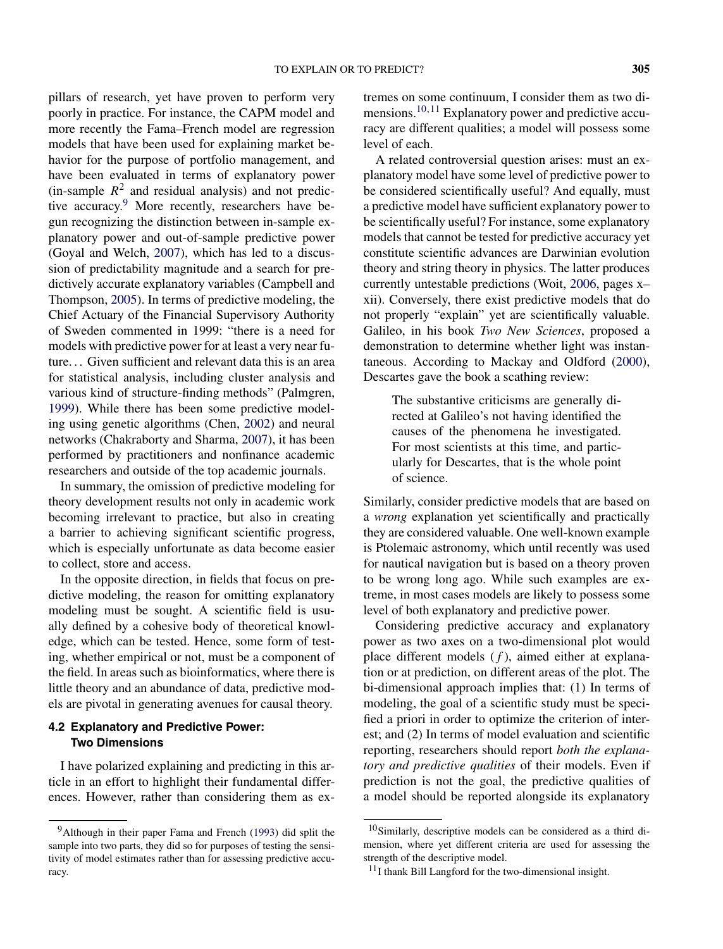<span id="page-16-0"></span>pillars of research, yet have proven to perform very poorly in practice. For instance, the CAPM model and more recently the Fama–French model are regression models that have been used for explaining market behavior for the purpose of portfolio management, and have been evaluated in terms of explanatory power (in-sample  $R^2$  and residual analysis) and not predictive accuracy.<sup>9</sup> More recently, researchers have begun recognizing the distinction between in-sample explanatory power and out-of-sample predictive power (Goyal and Welch, [2007\)](#page-19-0), which has led to a discussion of predictability magnitude and a search for predictively accurate explanatory variables (Campbell and Thompson, [2005\)](#page-19-0). In terms of predictive modeling, the Chief Actuary of the Financial Supervisory Authority of Sweden commented in 1999: "there is a need for models with predictive power for at least a very near future. . . Given sufficient and relevant data this is an area for statistical analysis, including cluster analysis and various kind of structure-finding methods" (Palmgren, [1999\)](#page-20-0). While there has been some predictive modeling using genetic algorithms (Chen, [2002\)](#page-19-0) and neural networks (Chakraborty and Sharma, [2007\)](#page-19-0), it has been performed by practitioners and nonfinance academic researchers and outside of the top academic journals.

In summary, the omission of predictive modeling for theory development results not only in academic work becoming irrelevant to practice, but also in creating a barrier to achieving significant scientific progress, which is especially unfortunate as data become easier to collect, store and access.

In the opposite direction, in fields that focus on predictive modeling, the reason for omitting explanatory modeling must be sought. A scientific field is usually defined by a cohesive body of theoretical knowledge, which can be tested. Hence, some form of testing, whether empirical or not, must be a component of the field. In areas such as bioinformatics, where there is little theory and an abundance of data, predictive models are pivotal in generating avenues for causal theory.

## **4.2 Explanatory and Predictive Power: Two Dimensions**

I have polarized explaining and predicting in this article in an effort to highlight their fundamental differences. However, rather than considering them as extremes on some continuum, I consider them as two dimensions.<sup>10,11</sup> Explanatory power and predictive accuracy are different qualities; a model will possess some level of each.

A related controversial question arises: must an explanatory model have some level of predictive power to be considered scientifically useful? And equally, must a predictive model have sufficient explanatory power to be scientifically useful? For instance, some explanatory models that cannot be tested for predictive accuracy yet constitute scientific advances are Darwinian evolution theory and string theory in physics. The latter produces currently untestable predictions (Woit, [2006,](#page-21-0) pages x– xii). Conversely, there exist predictive models that do not properly "explain" yet are scientifically valuable. Galileo, in his book *Two New Sciences*, proposed a demonstration to determine whether light was instantaneous. According to Mackay and Oldford [\(2000\)](#page-20-0), Descartes gave the book a scathing review:

The substantive criticisms are generally directed at Galileo's not having identified the causes of the phenomena he investigated. For most scientists at this time, and particularly for Descartes, that is the whole point of science.

Similarly, consider predictive models that are based on a *wrong* explanation yet scientifically and practically they are considered valuable. One well-known example is Ptolemaic astronomy, which until recently was used for nautical navigation but is based on a theory proven to be wrong long ago. While such examples are extreme, in most cases models are likely to possess some level of both explanatory and predictive power.

Considering predictive accuracy and explanatory power as two axes on a two-dimensional plot would place different models (*f* ), aimed either at explanation or at prediction, on different areas of the plot. The bi-dimensional approach implies that: (1) In terms of modeling, the goal of a scientific study must be specified a priori in order to optimize the criterion of interest; and (2) In terms of model evaluation and scientific reporting, researchers should report *both the explanatory and predictive qualities* of their models. Even if prediction is not the goal, the predictive qualities of a model should be reported alongside its explanatory

<sup>&</sup>lt;sup>9</sup>Although in their paper Fama and French [\(1993\)](#page-19-0) did split the sample into two parts, they did so for purposes of testing the sensitivity of model estimates rather than for assessing predictive accuracy.

<sup>10</sup>Similarly, descriptive models can be considered as a third dimension, where yet different criteria are used for assessing the strength of the descriptive model.

<sup>&</sup>lt;sup>11</sup>I thank Bill Langford for the two-dimensional insight.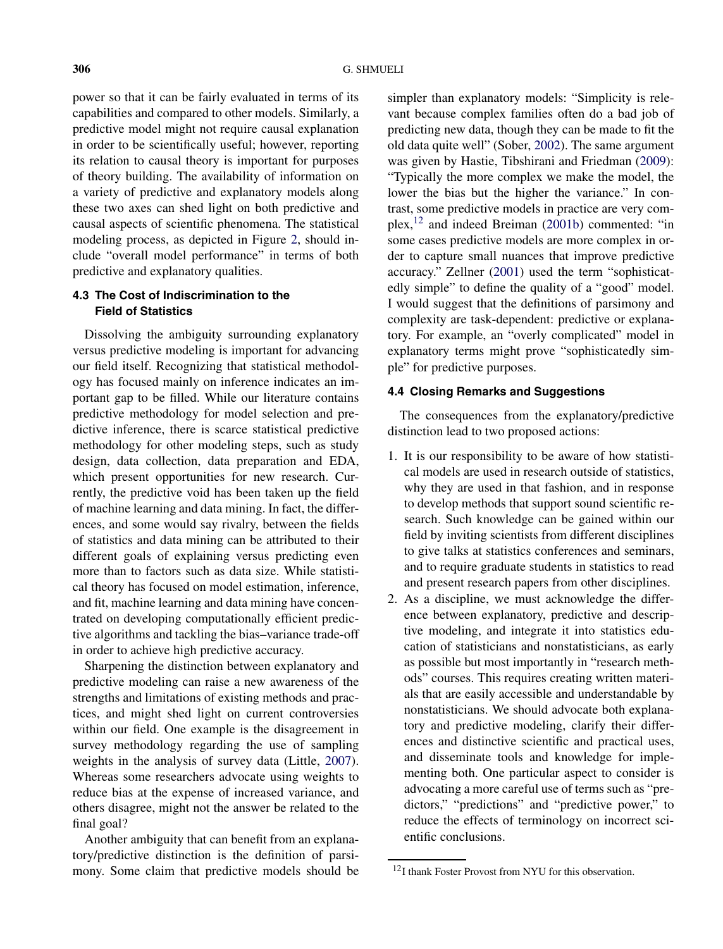power so that it can be fairly evaluated in terms of its capabilities and compared to other models. Similarly, a predictive model might not require causal explanation in order to be scientifically useful; however, reporting its relation to causal theory is important for purposes of theory building. The availability of information on a variety of predictive and explanatory models along these two axes can shed light on both predictive and causal aspects of scientific phenomena. The statistical modeling process, as depicted in Figure [2,](#page-6-0) should include "overall model performance" in terms of both predictive and explanatory qualities.

## **4.3 The Cost of Indiscrimination to the Field of Statistics**

Dissolving the ambiguity surrounding explanatory versus predictive modeling is important for advancing our field itself. Recognizing that statistical methodology has focused mainly on inference indicates an important gap to be filled. While our literature contains predictive methodology for model selection and predictive inference, there is scarce statistical predictive methodology for other modeling steps, such as study design, data collection, data preparation and EDA, which present opportunities for new research. Currently, the predictive void has been taken up the field of machine learning and data mining. In fact, the differences, and some would say rivalry, between the fields of statistics and data mining can be attributed to their different goals of explaining versus predicting even more than to factors such as data size. While statistical theory has focused on model estimation, inference, and fit, machine learning and data mining have concentrated on developing computationally efficient predictive algorithms and tackling the bias–variance trade-off in order to achieve high predictive accuracy.

Sharpening the distinction between explanatory and predictive modeling can raise a new awareness of the strengths and limitations of existing methods and practices, and might shed light on current controversies within our field. One example is the disagreement in survey methodology regarding the use of sampling weights in the analysis of survey data (Little, [2007\)](#page-20-0). Whereas some researchers advocate using weights to reduce bias at the expense of increased variance, and others disagree, might not the answer be related to the final goal?

Another ambiguity that can benefit from an explanatory/predictive distinction is the definition of parsimony. Some claim that predictive models should be simpler than explanatory models: "Simplicity is relevant because complex families often do a bad job of predicting new data, though they can be made to fit the old data quite well" (Sober, [2002\)](#page-20-0). The same argument was given by Hastie, Tibshirani and Friedman [\(2009\)](#page-20-0): "Typically the more complex we make the model, the lower the bias but the higher the variance." In contrast, some predictive models in practice are very complex,<sup>12</sup> and indeed Breiman [\(2001b\)](#page-19-0) commented: "in some cases predictive models are more complex in order to capture small nuances that improve predictive accuracy." Zellner [\(2001\)](#page-21-0) used the term "sophisticatedly simple" to define the quality of a "good" model. I would suggest that the definitions of parsimony and complexity are task-dependent: predictive or explanatory. For example, an "overly complicated" model in explanatory terms might prove "sophisticatedly simple" for predictive purposes.

## **4.4 Closing Remarks and Suggestions**

The consequences from the explanatory/predictive distinction lead to two proposed actions:

- 1. It is our responsibility to be aware of how statistical models are used in research outside of statistics, why they are used in that fashion, and in response to develop methods that support sound scientific research. Such knowledge can be gained within our field by inviting scientists from different disciplines to give talks at statistics conferences and seminars, and to require graduate students in statistics to read and present research papers from other disciplines.
- 2. As a discipline, we must acknowledge the difference between explanatory, predictive and descriptive modeling, and integrate it into statistics education of statisticians and nonstatisticians, as early as possible but most importantly in "research methods" courses. This requires creating written materials that are easily accessible and understandable by nonstatisticians. We should advocate both explanatory and predictive modeling, clarify their differences and distinctive scientific and practical uses, and disseminate tools and knowledge for implementing both. One particular aspect to consider is advocating a more careful use of terms such as "predictors," "predictions" and "predictive power," to reduce the effects of terminology on incorrect scientific conclusions.

<sup>&</sup>lt;sup>12</sup>I thank Foster Provost from NYU for this observation.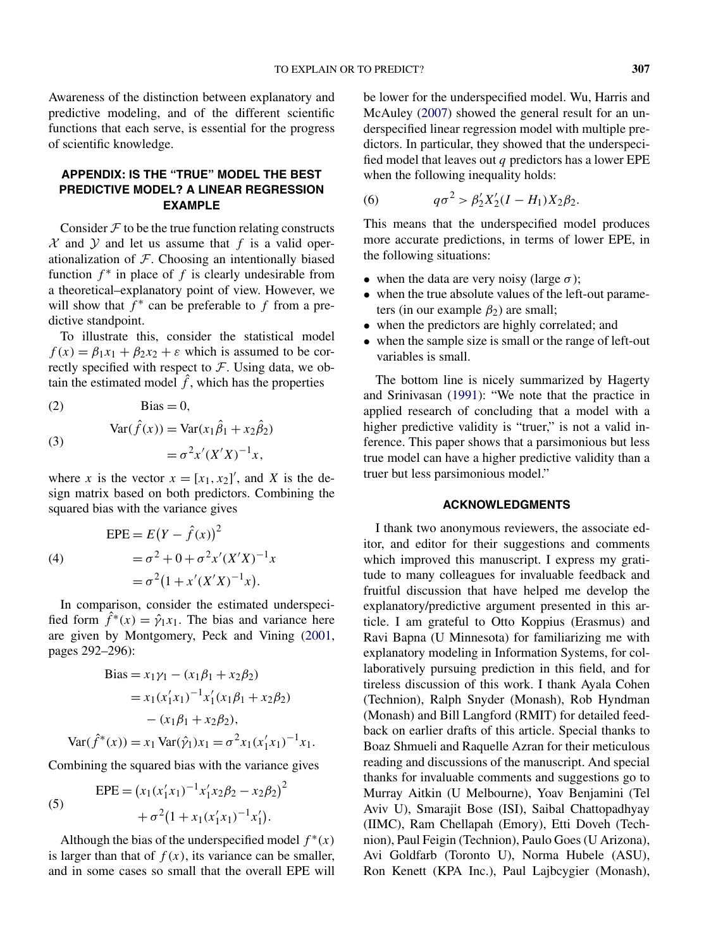<span id="page-18-0"></span>Awareness of the distinction between explanatory and predictive modeling, and of the different scientific functions that each serve, is essential for the progress of scientific knowledge.

## **APPENDIX: IS THE "TRUE" MODEL THE BEST PREDICTIVE MODEL? A LINEAR REGRESSION EXAMPLE**

Consider  $F$  to be the true function relating constructs  $X$  and  $Y$  and let us assume that  $f$  is a valid operationalization of  $F$ . Choosing an intentionally biased function  $f^*$  in place of  $f$  is clearly undesirable from a theoretical–explanatory point of view. However, we will show that  $\hat{f}^*$  can be preferable to  $f$  from a predictive standpoint.

To illustrate this, consider the statistical model  $f(x) = \beta_1 x_1 + \beta_2 x_2 + \varepsilon$  which is assumed to be correctly specified with respect to  $F$ . Using data, we obtain the estimated model  $\hat{f}$ , which has the properties

(2) Bias = 0,  
\n
$$
Var(\hat{f}(x)) = Var(x_1\hat{\beta}_1 + x_2\hat{\beta}_2)
$$
\n
$$
= \sigma^2 x'(X'X)^{-1}x,
$$

where *x* is the vector  $x = [x_1, x_2]'$ , and *X* is the design matrix based on both predictors. Combining the squared bias with the variance gives

(4)  
\n
$$
EPE = E(Y - \hat{f}(x))^{2}
$$
\n
$$
= \sigma^{2} + 0 + \sigma^{2} x'(X'X)^{-1}x
$$
\n
$$
= \sigma^{2} (1 + x'(X'X)^{-1}x).
$$

In comparison, consider the estimated underspecified form  $\hat{f}^*(x) = \hat{\gamma}_1 x_1$ . The bias and variance here are given by Montgomery, Peck and Vining [\(2001,](#page-20-0) pages 292–296):

Bias = 
$$
x_1 \gamma_1 - (x_1 \beta_1 + x_2 \beta_2)
$$
  
\n=  $x_1 (x'_1 x_1)^{-1} x'_1 (x_1 \beta_1 + x_2 \beta_2)$   
\n-  $(x_1 \beta_1 + x_2 \beta_2)$ ,  
\nVar( $\hat{f}^*(x)$ ) =  $x_1 \text{Var}(\hat{\gamma}_1) x_1 = \sigma^2 x_1 (x'_1 x_1)^{-1} x_1$ .

Combining the squared bias with the variance gives

(5) 
$$
EPE = (x_1(x'_1x_1)^{-1}x'_1x_2\beta_2 - x_2\beta_2)^2 + \sigma^2(1 + x_1(x'_1x_1)^{-1}x'_1).
$$

Although the bias of the underspecified model  $f^*(x)$ is larger than that of  $f(x)$ , its variance can be smaller, and in some cases so small that the overall EPE will be lower for the underspecified model. Wu, Harris and McAuley [\(2007\)](#page-21-0) showed the general result for an underspecified linear regression model with multiple predictors. In particular, they showed that the underspecified model that leaves out *q* predictors has a lower EPE when the following inequality holds:

(6) 
$$
q\sigma^2 > \beta'_2 X'_2 (I - H_1) X_2 \beta_2.
$$

This means that the underspecified model produces more accurate predictions, in terms of lower EPE, in the following situations:

- when the data are very noisy (large  $\sigma$ );
- when the true absolute values of the left-out parameters (in our example  $\beta_2$ ) are small;
- when the predictors are highly correlated; and
- when the sample size is small or the range of left-out variables is small.

The bottom line is nicely summarized by Hagerty and Srinivasan [\(1991\)](#page-20-0): "We note that the practice in applied research of concluding that a model with a higher predictive validity is "truer," is not a valid inference. This paper shows that a parsimonious but less true model can have a higher predictive validity than a truer but less parsimonious model."

## **ACKNOWLEDGMENTS**

I thank two anonymous reviewers, the associate editor, and editor for their suggestions and comments which improved this manuscript. I express my gratitude to many colleagues for invaluable feedback and fruitful discussion that have helped me develop the explanatory/predictive argument presented in this article. I am grateful to Otto Koppius (Erasmus) and Ravi Bapna (U Minnesota) for familiarizing me with explanatory modeling in Information Systems, for collaboratively pursuing prediction in this field, and for tireless discussion of this work. I thank Ayala Cohen (Technion), Ralph Snyder (Monash), Rob Hyndman (Monash) and Bill Langford (RMIT) for detailed feedback on earlier drafts of this article. Special thanks to Boaz Shmueli and Raquelle Azran for their meticulous reading and discussions of the manuscript. And special thanks for invaluable comments and suggestions go to Murray Aitkin (U Melbourne), Yoav Benjamini (Tel Aviv U), Smarajit Bose (ISI), Saibal Chattopadhyay (IIMC), Ram Chellapah (Emory), Etti Doveh (Technion), Paul Feigin (Technion), Paulo Goes (U Arizona), Avi Goldfarb (Toronto U), Norma Hubele (ASU), Ron Kenett (KPA Inc.), Paul Lajbcygier (Monash),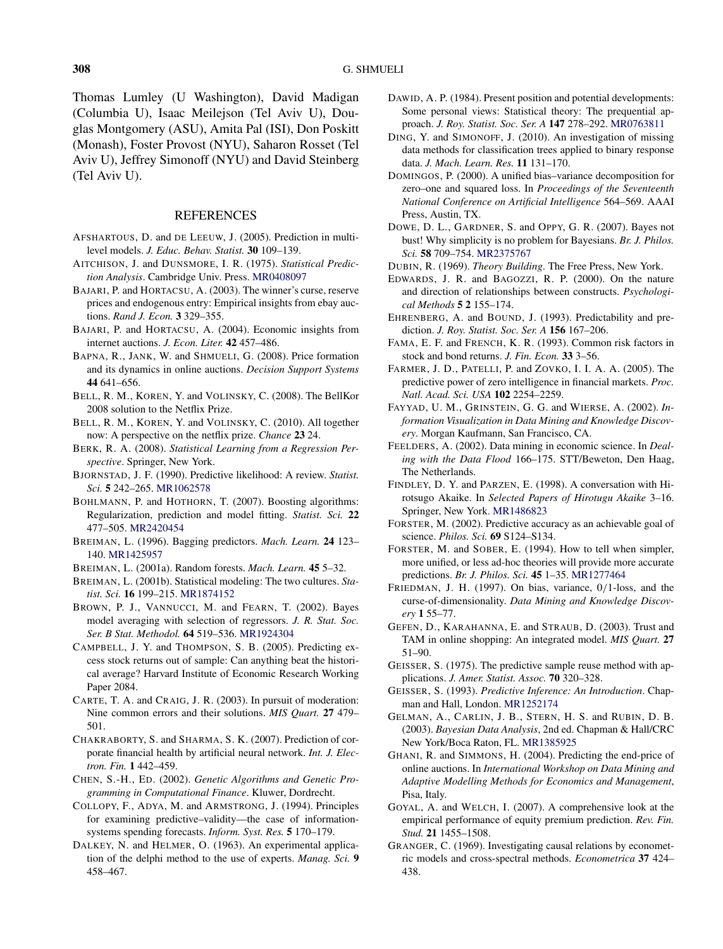<span id="page-19-0"></span>Thomas Lumley (U Washington), David Madigan (Columbia U), Isaac Meilejson (Tel Aviv U), Douglas Montgomery (ASU), Amita Pal (ISI), Don Poskitt (Monash), Foster Provost (NYU), Saharon Rosset (Tel Aviv U), Jeffrey Simonoff (NYU) and David Steinberg (Tel Aviv U).

#### **REFERENCES**

- AFSHARTOUS, D. and DE LEEUW, J. (2005). Prediction in multilevel models. *J. Educ. Behav. Statist.* **30** 109–139.
- AITCHISON, J. and DUNSMORE, I. R. (1975). *Statistical Prediction Analysis*. Cambridge Univ. Press. [MR0408097](http://www.ams.org/mathscinet-getitem?mr=0408097)
- BAJARI, P. and HORTACSU, A. (2003). The winner's curse, reserve prices and endogenous entry: Empirical insights from ebay auctions. *Rand J. Econ.* **3** 329–355.
- BAJARI, P. and HORTACSU, A. (2004). Economic insights from internet auctions. *J. Econ. Liter.* **42** 457–486.
- BAPNA, R., JANK, W. and SHMUELI, G. (2008). Price formation and its dynamics in online auctions. *Decision Support Systems* **44** 641–656.
- BELL, R. M., KOREN, Y. and VOLINSKY, C. (2008). The BellKor 2008 solution to the Netflix Prize.
- BELL, R. M., KOREN, Y. and VOLINSKY, C. (2010). All together now: A perspective on the netflix prize. *Chance* **23** 24.
- BERK, R. A. (2008). *Statistical Learning from a Regression Perspective*. Springer, New York.
- BJORNSTAD, J. F. (1990). Predictive likelihood: A review. *Statist. Sci.* **5** 242–265. [MR1062578](http://www.ams.org/mathscinet-getitem?mr=1062578)
- BOHLMANN, P. and HOTHORN, T. (2007). Boosting algorithms: Regularization, prediction and model fitting. *Statist. Sci.* **22** 477–505. [MR2420454](http://www.ams.org/mathscinet-getitem?mr=2420454)
- BREIMAN, L. (1996). Bagging predictors. *Mach. Learn.* **24** 123– 140. [MR1425957](http://www.ams.org/mathscinet-getitem?mr=1425957)
- BREIMAN, L. (2001a). Random forests. *Mach. Learn.* **45** 5–32.
- BREIMAN, L. (2001b). Statistical modeling: The two cultures. *Statist. Sci.* **16** 199–215. [MR1874152](http://www.ams.org/mathscinet-getitem?mr=1874152)
- BROWN, P. J., VANNUCCI, M. and FEARN, T. (2002). Bayes model averaging with selection of regressors. *J. R. Stat. Soc. Ser. B Stat. Methodol.* **64** 519–536. [MR1924304](http://www.ams.org/mathscinet-getitem?mr=1924304)
- CAMPBELL, J. Y. and THOMPSON, S. B. (2005). Predicting excess stock returns out of sample: Can anything beat the historical average? Harvard Institute of Economic Research Working Paper 2084.
- CARTE, T. A. and CRAIG, J. R. (2003). In pursuit of moderation: Nine common errors and their solutions. *MIS Quart.* **27** 479– 501.
- CHAKRABORTY, S. and SHARMA, S. K. (2007). Prediction of corporate financial health by artificial neural network. *Int. J. Electron. Fin.* **1** 442–459.
- CHEN, S.-H., ED. (2002). *Genetic Algorithms and Genetic Programming in Computational Finance*. Kluwer, Dordrecht.
- COLLOPY, F., ADYA, M. and ARMSTRONG, J. (1994). Principles for examining predictive–validity—the case of informationsystems spending forecasts. *Inform. Syst. Res.* **5** 170–179.
- DALKEY, N. and HELMER, O. (1963). An experimental application of the delphi method to the use of experts. *Manag. Sci.* **9** 458–467.
- DAWID, A. P. (1984). Present position and potential developments: Some personal views: Statistical theory: The prequential approach. *J. Roy. Statist. Soc. Ser. A* **147** 278–292. [MR0763811](http://www.ams.org/mathscinet-getitem?mr=0763811)
- DING, Y. and SIMONOFF, J. (2010). An investigation of missing data methods for classification trees applied to binary response data. *J. Mach. Learn. Res.* **11** 131–170.
- DOMINGOS, P. (2000). A unified bias–variance decomposition for zero–one and squared loss. In *Proceedings of the Seventeenth National Conference on Artificial Intelligence* 564–569. AAAI Press, Austin, TX.
- DOWE, D. L., GARDNER, S. and OPPY, G. R. (2007). Bayes not bust! Why simplicity is no problem for Bayesians. *Br. J. Philos. Sci.* **58** 709–754. [MR2375767](http://www.ams.org/mathscinet-getitem?mr=2375767)
- DUBIN, R. (1969). *Theory Building*. The Free Press, New York.
- EDWARDS, J. R. and BAGOZZI, R. P. (2000). On the nature and direction of relationships between constructs. *Psychological Methods* **5 2** 155–174.
- EHRENBERG, A. and BOUND, J. (1993). Predictability and prediction. *J. Roy. Statist. Soc. Ser. A* **156** 167–206.
- FAMA, E. F. and FRENCH, K. R. (1993). Common risk factors in stock and bond returns. *J. Fin. Econ.* **33** 3–56.
- FARMER, J. D., PATELLI, P. and ZOVKO, I. I. A. A. (2005). The predictive power of zero intelligence in financial markets. *Proc. Natl. Acad. Sci. USA* **102** 2254–2259.
- FAYYAD, U. M., GRINSTEIN, G. G. and WIERSE, A. (2002). *Information Visualization in Data Mining and Knowledge Discovery*. Morgan Kaufmann, San Francisco, CA.
- FEELDERS, A. (2002). Data mining in economic science. In *Dealing with the Data Flood* 166–175. STT/Beweton, Den Haag, The Netherlands.
- FINDLEY, D. Y. and PARZEN, E. (1998). A conversation with Hirotsugo Akaike. In *Selected Papers of Hirotugu Akaike* 3–16. Springer, New York. [MR1486823](http://www.ams.org/mathscinet-getitem?mr=1486823)
- FORSTER, M. (2002). Predictive accuracy as an achievable goal of science. *Philos. Sci.* **69** S124–S134.
- FORSTER, M. and SOBER, E. (1994). How to tell when simpler, more unified, or less ad-hoc theories will provide more accurate predictions. *Br. J. Philos. Sci.* **45** 1–35. [MR1277464](http://www.ams.org/mathscinet-getitem?mr=1277464)
- FRIEDMAN, J. H. (1997). On bias, variance, 0*/*1-loss, and the curse-of-dimensionality. *Data Mining and Knowledge Discovery* **1** 55–77.
- GEFEN, D., KARAHANNA, E. and STRAUB, D. (2003). Trust and TAM in online shopping: An integrated model. *MIS Quart.* **27** 51–90.
- GEISSER, S. (1975). The predictive sample reuse method with applications. *J. Amer. Statist. Assoc.* **70** 320–328.
- GEISSER, S. (1993). *Predictive Inference: An Introduction*. Chapman and Hall, London. [MR1252174](http://www.ams.org/mathscinet-getitem?mr=1252174)
- GELMAN, A., CARLIN, J. B., STERN, H. S. and RUBIN, D. B. (2003). *Bayesian Data Analysis*, 2nd ed. Chapman & Hall/CRC New York/Boca Raton, FL. [MR1385925](http://www.ams.org/mathscinet-getitem?mr=1385925)
- GHANI, R. and SIMMONS, H. (2004). Predicting the end-price of online auctions. In *International Workshop on Data Mining and Adaptive Modelling Methods for Economics and Management*, Pisa, Italy.
- GOYAL, A. and WELCH, I. (2007). A comprehensive look at the empirical performance of equity premium prediction. *Rev. Fin. Stud.* **21** 1455–1508.
- GRANGER, C. (1969). Investigating causal relations by econometric models and cross-spectral methods. *Econometrica* **37** 424– 438.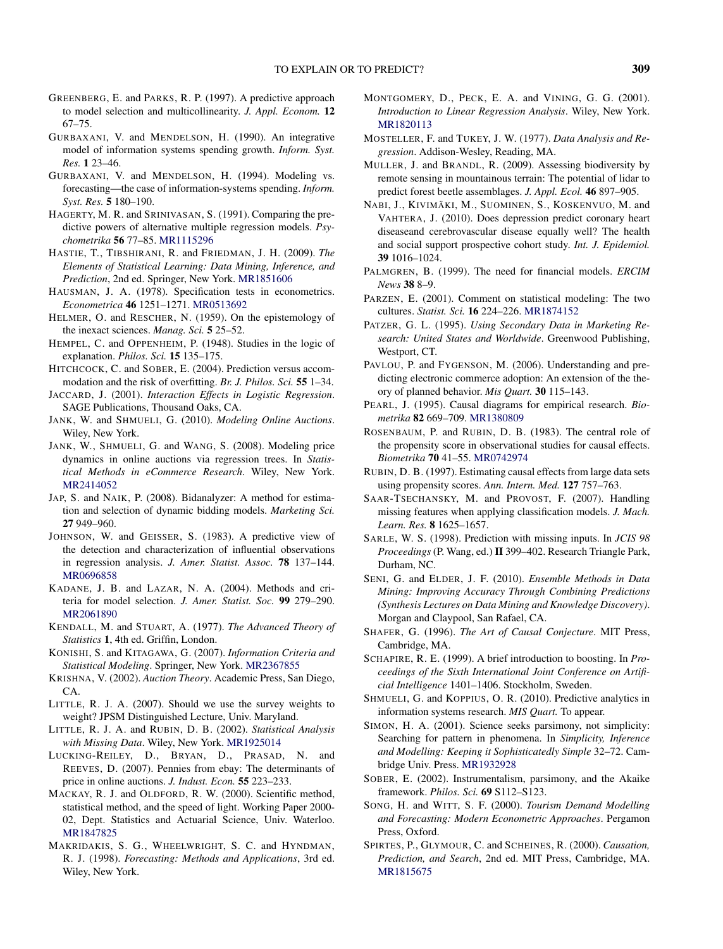- <span id="page-20-0"></span>GREENBERG, E. and PARKS, R. P. (1997). A predictive approach to model selection and multicollinearity. *J. Appl. Econom.* **12** 67–75.
- GURBAXANI, V. and MENDELSON, H. (1990). An integrative model of information systems spending growth. *Inform. Syst. Res.* **1** 23–46.
- GURBAXANI, V. and MENDELSON, H. (1994). Modeling vs. forecasting—the case of information-systems spending. *Inform. Syst. Res.* **5** 180–190.
- HAGERTY, M. R. and SRINIVASAN, S. (1991). Comparing the predictive powers of alternative multiple regression models. *Psychometrika* **56** 77–85. [MR1115296](http://www.ams.org/mathscinet-getitem?mr=1115296)
- HASTIE, T., TIBSHIRANI, R. and FRIEDMAN, J. H. (2009). *The Elements of Statistical Learning: Data Mining, Inference, and Prediction*, 2nd ed. Springer, New York. [MR1851606](http://www.ams.org/mathscinet-getitem?mr=1851606)
- HAUSMAN, J. A. (1978). Specification tests in econometrics. *Econometrica* **46** 1251–1271. [MR0513692](http://www.ams.org/mathscinet-getitem?mr=0513692)
- HELMER, O. and RESCHER, N. (1959). On the epistemology of the inexact sciences. *Manag. Sci.* **5** 25–52.
- HEMPEL, C. and OPPENHEIM, P. (1948). Studies in the logic of explanation. *Philos. Sci.* **15** 135–175.
- HITCHCOCK, C. and SOBER, E. (2004). Prediction versus accommodation and the risk of overfitting. *Br. J. Philos. Sci.* **55** 1–34.
- JACCARD, J. (2001). *Interaction Effects in Logistic Regression*. SAGE Publications, Thousand Oaks, CA.
- JANK, W. and SHMUELI, G. (2010). *Modeling Online Auctions*. Wiley, New York.
- JANK, W., SHMUELI, G. and WANG, S. (2008). Modeling price dynamics in online auctions via regression trees. In *Statistical Methods in eCommerce Research*. Wiley, New York. [MR2414052](http://www.ams.org/mathscinet-getitem?mr=2414052)
- JAP, S. and NAIK, P. (2008). Bidanalyzer: A method for estimation and selection of dynamic bidding models. *Marketing Sci.* **27** 949–960.
- JOHNSON, W. and GEISSER, S. (1983). A predictive view of the detection and characterization of influential observations in regression analysis. *J. Amer. Statist. Assoc.* **78** 137–144. [MR0696858](http://www.ams.org/mathscinet-getitem?mr=0696858)
- KADANE, J. B. and LAZAR, N. A. (2004). Methods and criteria for model selection. *J. Amer. Statist. Soc.* **99** 279–290. [MR2061890](http://www.ams.org/mathscinet-getitem?mr=2061890)
- KENDALL, M. and STUART, A. (1977). *The Advanced Theory of Statistics* **1**, 4th ed. Griffin, London.
- KONISHI, S. and KITAGAWA, G. (2007). *Information Criteria and Statistical Modeling*. Springer, New York. [MR2367855](http://www.ams.org/mathscinet-getitem?mr=2367855)
- KRISHNA, V. (2002). *Auction Theory*. Academic Press, San Diego, CA.
- LITTLE, R. J. A. (2007). Should we use the survey weights to weight? JPSM Distinguished Lecture, Univ. Maryland.
- LITTLE, R. J. A. and RUBIN, D. B. (2002). *Statistical Analysis with Missing Data*. Wiley, New York. [MR1925014](http://www.ams.org/mathscinet-getitem?mr=1925014)
- LUCKING-REILEY, D., BRYAN, D., PRASAD, N. and REEVES, D. (2007). Pennies from ebay: The determinants of price in online auctions. *J. Indust. Econ.* **55** 223–233.
- MACKAY, R. J. and OLDFORD, R. W. (2000). Scientific method, statistical method, and the speed of light. Working Paper 2000- 02, Dept. Statistics and Actuarial Science, Univ. Waterloo. [MR1847825](http://www.ams.org/mathscinet-getitem?mr=1847825)
- MAKRIDAKIS, S. G., WHEELWRIGHT, S. C. and HYNDMAN, R. J. (1998). *Forecasting: Methods and Applications*, 3rd ed. Wiley, New York.
- MONTGOMERY, D., PECK, E. A. and VINING, G. G. (2001). *Introduction to Linear Regression Analysis*. Wiley, New York. [MR1820113](http://www.ams.org/mathscinet-getitem?mr=1820113)
- MOSTELLER, F. and TUKEY, J. W. (1977). *Data Analysis and Regression*. Addison-Wesley, Reading, MA.
- MULLER, J. and BRANDL, R. (2009). Assessing biodiversity by remote sensing in mountainous terrain: The potential of lidar to predict forest beetle assemblages. *J. Appl. Ecol.* **46** 897–905.
- NABI, J., KIVIMÄKI, M., SUOMINEN, S., KOSKENVUO, M. and VAHTERA, J. (2010). Does depression predict coronary heart diseaseand cerebrovascular disease equally well? The health and social support prospective cohort study. *Int. J. Epidemiol.* **39** 1016–1024.
- PALMGREN, B. (1999). The need for financial models. *ERCIM News* **38** 8–9.
- PARZEN, E. (2001). Comment on statistical modeling: The two cultures. *Statist. Sci.* **16** 224–226. [MR1874152](http://www.ams.org/mathscinet-getitem?mr=1874152)
- PATZER, G. L. (1995). *Using Secondary Data in Marketing Research: United States and Worldwide*. Greenwood Publishing, Westport, CT.
- PAVLOU, P. and FYGENSON, M. (2006). Understanding and predicting electronic commerce adoption: An extension of the theory of planned behavior. *Mis Quart.* **30** 115–143.
- PEARL, J. (1995). Causal diagrams for empirical research. *Biometrika* **82** 669–709. [MR1380809](http://www.ams.org/mathscinet-getitem?mr=1380809)
- ROSENBAUM, P. and RUBIN, D. B. (1983). The central role of the propensity score in observational studies for causal effects. *Biometrika* **70** 41–55. [MR0742974](http://www.ams.org/mathscinet-getitem?mr=0742974)
- RUBIN, D. B. (1997). Estimating causal effects from large data sets using propensity scores. *Ann. Intern. Med.* **127** 757–763.
- SAAR-TSECHANSKY, M. and PROVOST, F. (2007). Handling missing features when applying classification models. *J. Mach. Learn. Res.* **8** 1625–1657.
- SARLE, W. S. (1998). Prediction with missing inputs. In *JCIS 98 Proceedings* (P. Wang, ed.) **II** 399–402. Research Triangle Park, Durham, NC.
- SENI, G. and ELDER, J. F. (2010). *Ensemble Methods in Data Mining: Improving Accuracy Through Combining Predictions (Synthesis Lectures on Data Mining and Knowledge Discovery)*. Morgan and Claypool, San Rafael, CA.
- SHAFER, G. (1996). *The Art of Causal Conjecture*. MIT Press, Cambridge, MA.
- SCHAPIRE, R. E. (1999). A brief introduction to boosting. In *Proceedings of the Sixth International Joint Conference on Artificial Intelligence* 1401–1406. Stockholm, Sweden.
- SHMUELI, G. and KOPPIUS, O. R. (2010). Predictive analytics in information systems research. *MIS Quart.* To appear.
- SIMON, H. A. (2001). Science seeks parsimony, not simplicity: Searching for pattern in phenomena. In *Simplicity, Inference and Modelling: Keeping it Sophisticatedly Simple* 32–72. Cambridge Univ. Press. [MR1932928](http://www.ams.org/mathscinet-getitem?mr=1932928)
- SOBER, E. (2002). Instrumentalism, parsimony, and the Akaike framework. *Philos. Sci.* **69** S112–S123.
- SONG, H. and WITT, S. F. (2000). *Tourism Demand Modelling and Forecasting: Modern Econometric Approaches*. Pergamon Press, Oxford.
- SPIRTES, P., GLYMOUR, C. and SCHEINES, R. (2000). *Causation, Prediction, and Search*, 2nd ed. MIT Press, Cambridge, MA. [MR1815675](http://www.ams.org/mathscinet-getitem?mr=1815675)